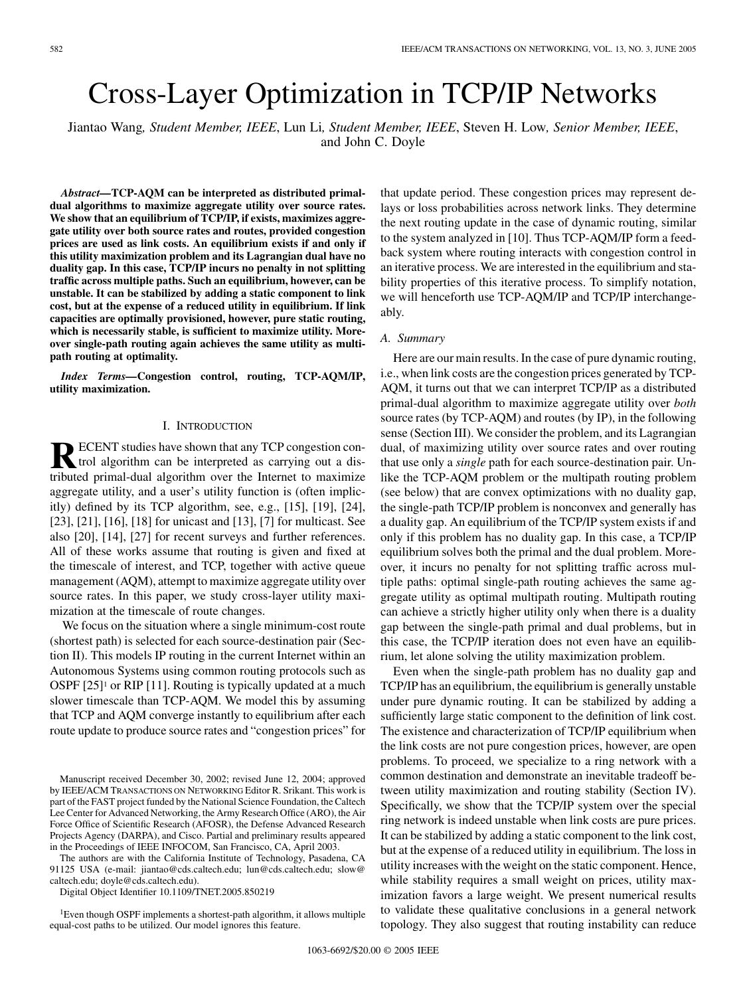# Cross-Layer Optimization in TCP/IP Networks

Jiantao Wang*, Student Member, IEEE*, Lun Li*, Student Member, IEEE*, Steven H. Low*, Senior Member, IEEE*, and John C. Doyle

*Abstract—***TCP-AQM can be interpreted as distributed primaldual algorithms to maximize aggregate utility over source rates. We show that an equilibrium of TCP/IP, if exists, maximizes aggregate utility over both source rates and routes, provided congestion prices are used as link costs. An equilibrium exists if and only if this utility maximization problem and its Lagrangian dual have no duality gap. In this case, TCP/IP incurs no penalty in not splitting traffic across multiple paths. Such an equilibrium, however, can be unstable. It can be stabilized by adding a static component to link cost, but at the expense of a reduced utility in equilibrium. If link capacities are optimally provisioned, however, pure static routing, which is necessarily stable, is sufficient to maximize utility. Moreover single-path routing again achieves the same utility as multipath routing at optimality.**

*Index Terms—***Congestion control, routing, TCP-AQM/IP, utility maximization.**

#### I. INTRODUCTION

**RECENT** studies have shown that any TCP congestion con-<br>trol algorithm can be interested. trol algorithm can be interpreted as carrying out a distributed primal-dual algorithm over the Internet to maximize aggregate utility, and a user's utility function is (often implicitly) defined by its TCP algorithm, see, e.g., [\[15](#page-13-0)], [\[19](#page-13-0)], [[24\]](#page-13-0), [[23\]](#page-13-0), [[21](#page-13-0)], [\[16](#page-13-0)], [[18\]](#page-13-0) for unicast and [\[13](#page-13-0)], [[7\]](#page-13-0) for multicast. See also [\[20](#page-13-0)], [[14\]](#page-13-0), [[27\]](#page-13-0) for recent surveys and further references. All of these works assume that routing is given and fixed at the timescale of interest, and TCP, together with active queue management (AQM), attempt to maximize aggregate utility over source rates. In this paper, we study cross-layer utility maximization at the timescale of route changes.

We focus on the situation where a single minimum-cost route (shortest path) is selected for each source-destination pair (Section II). This models IP routing in the current Internet within an Autonomous Systems using common routing protocols such as OSPF  $[25]$  $[25]$ <sup>1</sup> or RIP  $[11]$  $[11]$ . Routing is typically updated at a much slower timescale than TCP-AQM. We model this by assuming that TCP and AQM converge instantly to equilibrium after each route update to produce source rates and "congestion prices" for

The authors are with the California Institute of Technology, Pasadena, CA 91125 USA (e-mail: jiantao@cds.caltech.edu; lun@cds.caltech.edu; slow@ caltech.edu; doyle@cds.caltech.edu).

Digital Object Identifier 10.1109/TNET.2005.850219

1Even though OSPF implements a shortest-path algorithm, it allows multiple equal-cost paths to be utilized. Our model ignores this feature.

that update period. These congestion prices may represent delays or loss probabilities across network links. They determine the next routing update in the case of dynamic routing, similar to the system analyzed in [\[10](#page-13-0)]. Thus TCP-AQM/IP form a feedback system where routing interacts with congestion control in an iterative process. We are interested in the equilibrium and stability properties of this iterative process. To simplify notation, we will henceforth use TCP-AQM/IP and TCP/IP interchangeably.

# *A. Summary*

Here are our main results. In the case of pure dynamic routing, i.e., when link costs are the congestion prices generated by TCP-AQM, it turns out that we can interpret TCP/IP as a distributed primal-dual algorithm to maximize aggregate utility over *both* source rates (by TCP-AQM) and routes (by IP), in the following sense (Section III). We consider the problem, and its Lagrangian dual, of maximizing utility over source rates and over routing that use only a *single* path for each source-destination pair. Unlike the TCP-AQM problem or the multipath routing problem (see below) that are convex optimizations with no duality gap, the single-path TCP/IP problem is nonconvex and generally has a duality gap. An equilibrium of the TCP/IP system exists if and only if this problem has no duality gap. In this case, a TCP/IP equilibrium solves both the primal and the dual problem. Moreover, it incurs no penalty for not splitting traffic across multiple paths: optimal single-path routing achieves the same aggregate utility as optimal multipath routing. Multipath routing can achieve a strictly higher utility only when there is a duality gap between the single-path primal and dual problems, but in this case, the TCP/IP iteration does not even have an equilibrium, let alone solving the utility maximization problem.

Even when the single-path problem has no duality gap and TCP/IP has an equilibrium, the equilibrium is generally unstable under pure dynamic routing. It can be stabilized by adding a sufficiently large static component to the definition of link cost. The existence and characterization of TCP/IP equilibrium when the link costs are not pure congestion prices, however, are open problems. To proceed, we specialize to a ring network with a common destination and demonstrate an inevitable tradeoff between utility maximization and routing stability (Section IV). Specifically, we show that the TCP/IP system over the special ring network is indeed unstable when link costs are pure prices. It can be stabilized by adding a static component to the link cost, but at the expense of a reduced utility in equilibrium. The loss in utility increases with the weight on the static component. Hence, while stability requires a small weight on prices, utility maximization favors a large weight. We present numerical results to validate these qualitative conclusions in a general network topology. They also suggest that routing instability can reduce

Manuscript received December 30, 2002; revised June 12, 2004; approved by IEEE/ACM TRANSACTIONS ON NETWORKING Editor R. Srikant. This work is part of the FAST project funded by the National Science Foundation, the Caltech Lee Center for Advanced Networking, the Army Research Office (ARO), the Air Force Office of Scientific Research (AFOSR), the Defense Advanced Research Projects Agency (DARPA), and Cisco. Partial and preliminary results appeared in the Proceedings of IEEE INFOCOM, San Francisco, CA, April 2003.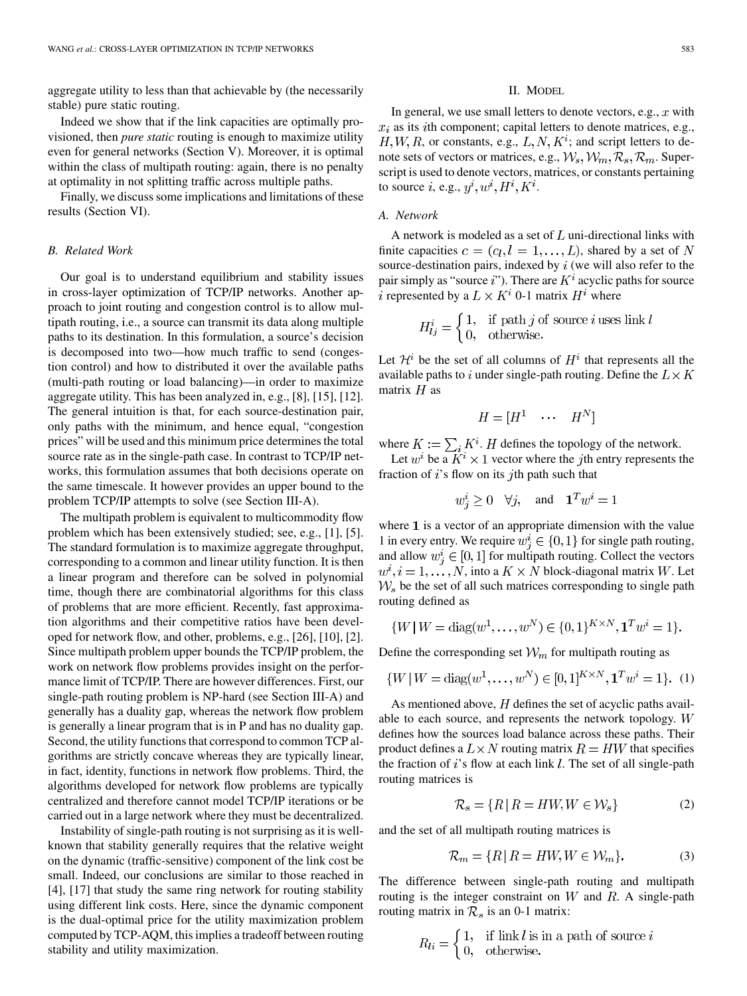aggregate utility to less than that achievable by (the necessarily stable) pure static routing.

Indeed we show that if the link capacities are optimally provisioned, then *pure static* routing is enough to maximize utility even for general networks (Section V). Moreover, it is optimal within the class of multipath routing: again, there is no penalty at optimality in not splitting traffic across multiple paths.

Finally, we discuss some implications and limitations of these results (Section VI).

#### *B. Related Work*

Our goal is to understand equilibrium and stability issues in cross-layer optimization of TCP/IP networks. Another approach to joint routing and congestion control is to allow multipath routing, i.e., a source can transmit its data along multiple paths to its destination. In this formulation, a source's decision is decomposed into two—how much traffic to send (congestion control) and how to distributed it over the available paths (multi-path routing or load balancing)—in order to maximize aggregate utility. This has been analyzed in, e.g., [[8\]](#page-13-0), [\[15](#page-13-0)], [\[12](#page-13-0)]. The general intuition is that, for each source-destination pair, only paths with the minimum, and hence equal, "congestion prices" will be used and this minimum price determines the total source rate as in the single-path case. In contrast to TCP/IP networks, this formulation assumes that both decisions operate on the same timescale. It however provides an upper bound to the problem TCP/IP attempts to solve (see Section III-A).

The multipath problem is equivalent to multicommodity flow problem which has been extensively studied; see, e.g., [[1\]](#page-13-0), [\[5](#page-13-0)]. The standard formulation is to maximize aggregate throughput, corresponding to a common and linear utility function. It is then a linear program and therefore can be solved in polynomial time, though there are combinatorial algorithms for this class of problems that are more efficient. Recently, fast approximation algorithms and their competitive ratios have been developed for network flow, and other, problems, e.g., [[26\]](#page-13-0), [\[10](#page-13-0)], [\[2](#page-13-0)]. Since multipath problem upper bounds the TCP/IP problem, the work on network flow problems provides insight on the performance limit of TCP/IP. There are however differences. First, our single-path routing problem is NP-hard (see Section III-A) and generally has a duality gap, whereas the network flow problem is generally a linear program that is in P and has no duality gap. Second, the utility functions that correspond to common TCP algorithms are strictly concave whereas they are typically linear, in fact, identity, functions in network flow problems. Third, the algorithms developed for network flow problems are typically centralized and therefore cannot model TCP/IP iterations or be carried out in a large network where they must be decentralized.

Instability of single-path routing is not surprising as it is wellknown that stability generally requires that the relative weight on the dynamic (traffic-sensitive) component of the link cost be small. Indeed, our conclusions are similar to those reached in [\[4](#page-13-0)], [[17\]](#page-13-0) that study the same ring network for routing stability using different link costs. Here, since the dynamic component is the dual-optimal price for the utility maximization problem computed by TCP-AQM, this implies a tradeoff between routing stability and utility maximization.

# II. MODEL

In general, we use small letters to denote vectors, e.g.,  $x$  with  $x_i$  as its *i*th component; capital letters to denote matrices, e.g.,  $H, W, R$ , or constants, e.g.,  $L, N, K^i$ ; and script letters to denote sets of vectors or matrices, e.g.,  $W_s, W_m, R_s, R_m$ . Superscript is used to denote vectors, matrices, or constants pertaining to source i, e.g.,  $y^i, w^i, H^i, K^i$ .

# *A. Network*

A network is modeled as a set of  $L$  uni-directional links with finite capacities  $c = (c_l, l = 1, \dots, L)$ , shared by a set of N source-destination pairs, indexed by  $i$  (we will also refer to the pair simply as "source i"). There are  $K^i$  acyclic paths for source *i* represented by a  $L \times K^2$  0-1 matrix  $H^i$  where

$$
H_{lj}^{i} = \begin{cases} 1, & \text{if path } j \text{ of source } i \text{ uses link } l \\ 0, & \text{otherwise.} \end{cases}
$$

Let  $\mathcal{H}^i$  be the set of all columns of  $H^i$  that represents all the available paths to i under single-path routing. Define the  $L \times K$ matrix  $H$  as

$$
H = [H^1 \quad \cdots \quad H^N]
$$

where  $K := \sum_i K^i$ . H defines the topology of the network.

Let  $w^i$  be a  $K^i \times 1$  vector where the jth entry represents the fraction of  $i$ 's flow on its jth path such that

$$
w_i^i \geq 0
$$
  $\forall j$ , and  $\mathbf{1}^T w^i = 1$ 

where  $1$  is a vector of an appropriate dimension with the value 1 in every entry. We require  $w_i^i \in \{0,1\}$  for single path routing, and allow  $w_i^i \in [0, 1]$  for multipath routing. Collect the vectors  $w^i, i = 1, \ldots, N$ , into a  $K \times N$  block-diagonal matrix W. Let  $W_s$  be the set of all such matrices corresponding to single path routing defined as

$$
\{W \, | \, W = \text{diag}(w^1, \dots, w^N) \in \{0, 1\}^{K \times N}, \mathbf{1}^T w^i = 1\}.
$$

Define the corresponding set  $\mathcal{W}_m$  for multipath routing as

$$
\{W \mid W = \text{diag}(w^1, \dots, w^N) \in [0, 1]^{K \times N}, \mathbf{1}^T w^i = 1\}.
$$
 (1)

As mentioned above,  $H$  defines the set of acyclic paths available to each source, and represents the network topology.  $W$ defines how the sources load balance across these paths. Their product defines a  $L \times N$  routing matrix  $R = HW$  that specifies the fraction of  $i$ 's flow at each link  $l$ . The set of all single-path routing matrices is

$$
\mathcal{R}_s = \{ R \mid R = HW, W \in \mathcal{W}_s \} \tag{2}
$$

and the set of all multipath routing matrices is

$$
\mathcal{R}_m = \{ R \mid R = HW, W \in \mathcal{W}_m \}. \tag{3}
$$

The difference between single-path routing and multipath routing is the integer constraint on  $W$  and  $R$ . A single-path routing matrix in  $\mathcal{R}_s$  is an 0-1 matrix:

$$
R_{li} = \begin{cases} 1, & \text{if link } l \text{ is in a path of source } i \\ 0, & \text{otherwise.} \end{cases}
$$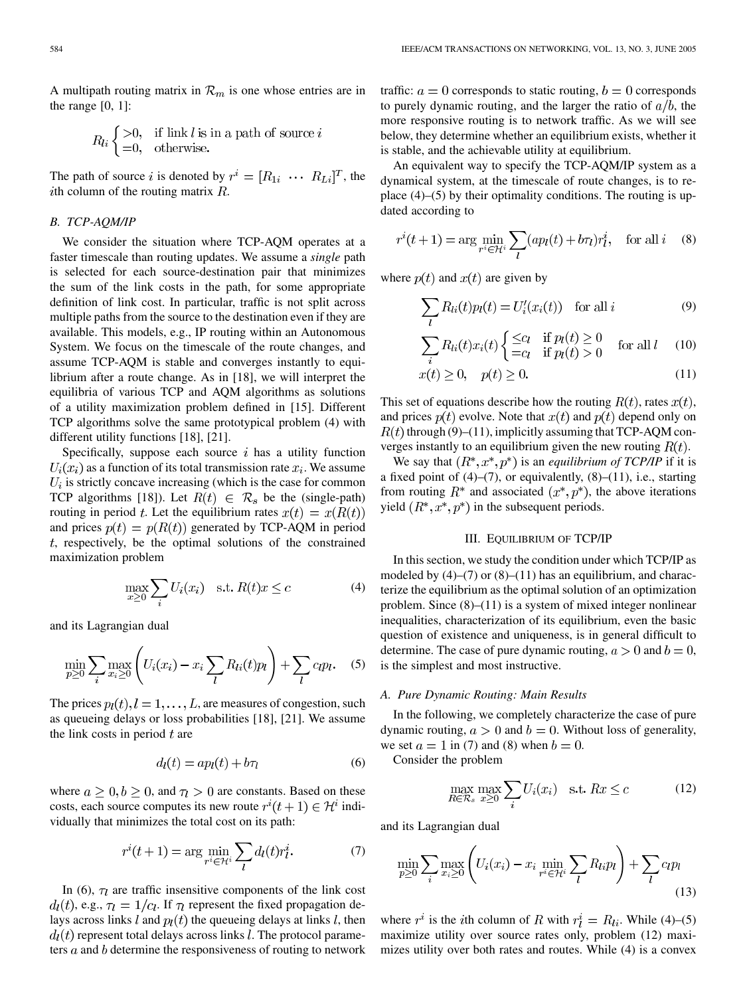A multipath routing matrix in  $\mathcal{R}_m$  is one whose entries are in the range  $[0, 1]$ :

$$
R_{li}
$$
 {>0, if link *l* is in a path of source *i*  
=0, otherwise.

The path of source i is denoted by  $r^i = [R_{1i} \cdots R_{Li}]^T$ , the ith column of the routing matrix  $R$ .

## *B. TCP-AQM/IP*

We consider the situation where TCP-AQM operates at a faster timescale than routing updates. We assume a *single* path is selected for each source-destination pair that minimizes the sum of the link costs in the path, for some appropriate definition of link cost. In particular, traffic is not split across multiple paths from the source to the destination even if they are available. This models, e.g., IP routing within an Autonomous System. We focus on the timescale of the route changes, and assume TCP-AQM is stable and converges instantly to equilibrium after a route change. As in [\[18](#page-13-0)], we will interpret the equilibria of various TCP and AQM algorithms as solutions of a utility maximization problem defined in [\[15](#page-13-0)]. Different TCP algorithms solve the same prototypical problem (4) with different utility functions [\[18](#page-13-0)], [[21\]](#page-13-0).

Specifically, suppose each source  $i$  has a utility function  $U_i(x_i)$  as a function of its total transmission rate  $x_i$ . We assume  $U_i$  is strictly concave increasing (which is the case for common TCP algorithms [\[18](#page-13-0)]). Let  $R(t) \in \mathcal{R}_s$  be the (single-path) routing in period t. Let the equilibrium rates  $x(t) = x(R(t))$ and prices  $p(t) = p(R(t))$  generated by TCP-AQM in period , respectively, be the optimal solutions of the constrained maximization problem

$$
\max_{x \ge 0} \sum_{i} U_i(x_i) \quad \text{s.t. } R(t)x \le c \tag{4}
$$

and its Lagrangian dual

$$
\min_{p\geq 0} \sum_{i} \max_{x_i \geq 0} \left( U_i(x_i) - x_i \sum_l R_{li}(t) p_l \right) + \sum_l c_l p_l. \quad (5)
$$

The prices  $p_l(t)$ ,  $l = 1, \ldots, L$ , are measures of congestion, such as queueing delays or loss probabilities [[18\]](#page-13-0), [[21\]](#page-13-0). We assume the link costs in period  $t$  are

$$
d_l(t) = ap_l(t) + b\tau_l \tag{6}
$$

where  $a \geq 0, b \geq 0$ , and  $\tau_l > 0$  are constants. Based on these costs, each source computes its new route  $r^{i}(t+1) \in \mathcal{H}^{i}$  individually that minimizes the total cost on its path:

$$
r^{i}(t+1) = \arg\min_{r^{i} \in \mathcal{H}^{i}} \sum_{l} d_{l}(t)r_{l}^{i}.
$$
 (7)

In (6),  $\tau_l$  are traffic insensitive components of the link cost  $d_l(t)$ , e.g.,  $\tau_l = 1/c_l$ . If  $\tau_l$  represent the fixed propagation delays across links  $l$  and  $p_l(t)$  the queueing delays at links  $l$ , then  $d_l(t)$  represent total delays across links l. The protocol parameters  $\alpha$  and  $\dot{b}$  determine the responsiveness of routing to network traffic:  $a = 0$  corresponds to static routing,  $b = 0$  corresponds to purely dynamic routing, and the larger the ratio of  $a/b$ , the more responsive routing is to network traffic. As we will see below, they determine whether an equilibrium exists, whether it is stable, and the achievable utility at equilibrium.

An equivalent way to specify the TCP-AQM/IP system as a dynamical system, at the timescale of route changes, is to replace (4)–(5) by their optimality conditions. The routing is updated according to

$$
r^{i}(t+1) = \arg\min_{r^{i} \in \mathcal{H}^{i}} \sum_{l} (ap_{l}(t) + b\tau_{l})r^{i}_{l}, \text{ for all } i \quad (8)
$$

where  $p(t)$  and  $x(t)$  are given by

$$
\sum_{l} R_{li}(t) p_l(t) = U'_i(x_i(t)) \quad \text{for all } i \tag{9}
$$

$$
\sum_{i} R_{li}(t)x_i(t) \begin{cases} \leq c_l & \text{if } p_l(t) \geq 0\\ = c_l & \text{if } p_l(t) > 0 \end{cases} \quad \text{for all } l \quad (10)
$$

$$
x(t) \ge 0, \quad p(t) \ge 0.
$$
\n<sup>(11)</sup>

This set of equations describe how the routing  $R(t)$ , rates  $x(t)$ , and prices  $p(t)$  evolve. Note that  $x(t)$  and  $p(t)$  depend only on  $R(t)$  through (9)–(11), implicitly assuming that TCP-AQM converges instantly to an equilibrium given the new routing  $R(t)$ .

We say that  $(R^*, x^*, p^*)$  is an *equilibrium of TCP/IP* if it is a fixed point of  $(4)$ – $(7)$ , or equivalently,  $(8)$ – $(11)$ , i.e., starting from routing  $R^*$  and associated  $(x^*, p^*)$ , the above iterations yield  $(R^*, x^*, p^*)$  in the subsequent periods.

## III. EQUILIBRIUM OF TCP/IP

In this section, we study the condition under which TCP/IP as modeled by  $(4)$ – $(7)$  or  $(8)$ – $(11)$  has an equilibrium, and characterize the equilibrium as the optimal solution of an optimization problem. Since  $(8)$ – $(11)$  is a system of mixed integer nonlinear inequalities, characterization of its equilibrium, even the basic question of existence and uniqueness, is in general difficult to determine. The case of pure dynamic routing,  $a > 0$  and  $b = 0$ , is the simplest and most instructive.

#### *A. Pure Dynamic Routing: Main Results*

In the following, we completely characterize the case of pure dynamic routing,  $a > 0$  and  $b = 0$ . Without loss of generality, we set  $a = 1$  in (7) and (8) when  $b = 0$ .

Consider the problem

$$
\max_{R \in \mathcal{R}_s} \max_{x \ge 0} \sum_i U_i(x_i) \quad \text{s.t. } Rx \le c \tag{12}
$$

and its Lagrangian dual

$$
\min_{p\geq 0} \sum_{i} \max_{x_i \geq 0} \left( U_i(x_i) - x_i \min_{r^i \in \mathcal{H}^i} \sum_l R_{li} p_l \right) + \sum_l c_l p_l
$$
\n(13)

where  $r^i$  is the *i*th column of R with  $r_l^i = R_{li}$ . While (4)–(5) maximize utility over source rates only, problem (12) maximizes utility over both rates and routes. While (4) is a convex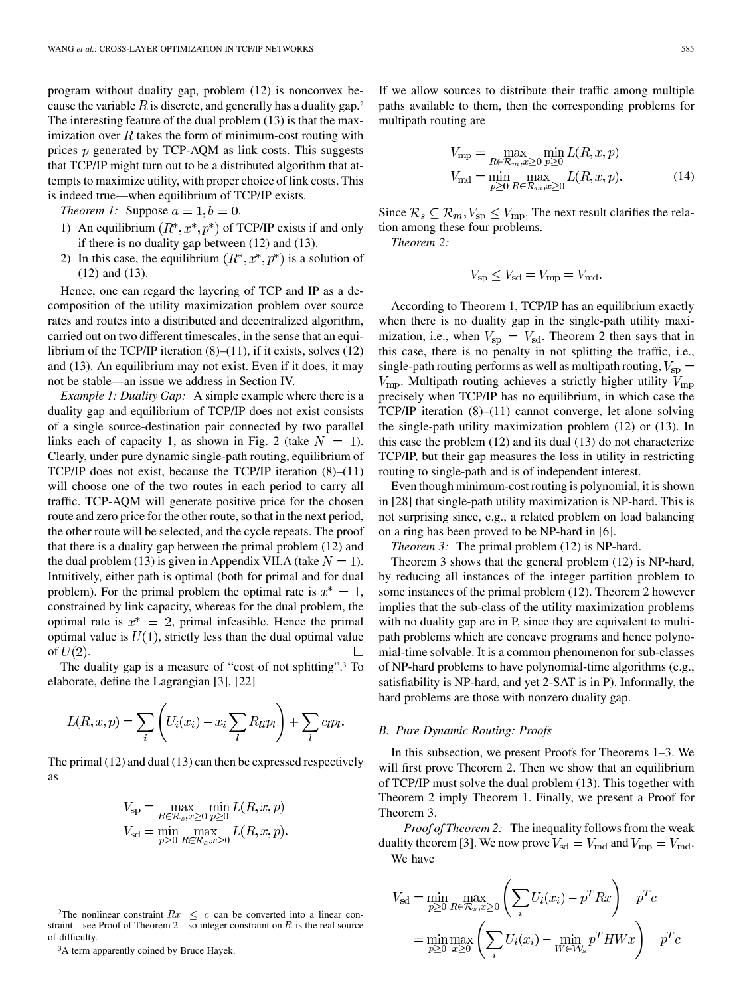program without duality gap, problem (12) is nonconvex because the variable R is discrete, and generally has a duality gap.<sup>2</sup> The interesting feature of the dual problem (13) is that the maximization over  $R$  takes the form of minimum-cost routing with prices  $p$  generated by TCP-AQM as link costs. This suggests that TCP/IP might turn out to be a distributed algorithm that attempts to maximize utility, with proper choice of link costs. This is indeed true—when equilibrium of TCP/IP exists.

*Theorem 1:* Suppose  $a = 1, b = 0$ .

- 1) An equilibrium  $(R^*, x^*, p^*)$  of TCP/IP exists if and only if there is no duality gap between (12) and (13).
- 2) In this case, the equilibrium  $(R^*, x^*, p^*)$  is a solution of (12) and (13).

Hence, one can regard the layering of TCP and IP as a decomposition of the utility maximization problem over source rates and routes into a distributed and decentralized algorithm, carried out on two different timescales, in the sense that an equilibrium of the TCP/IP iteration (8)–(11), if it exists, solves (12) and (13). An equilibrium may not exist. Even if it does, it may not be stable—an issue we address in Section IV.

*Example 1: Duality Gap:* A simple example where there is a duality gap and equilibrium of TCP/IP does not exist consists of a single source-destination pair connected by two parallel links each of capacity 1, as shown in Fig. 2 (take  $N = 1$ ). Clearly, under pure dynamic single-path routing, equilibrium of TCP/IP does not exist, because the TCP/IP iteration (8)–(11) will choose one of the two routes in each period to carry all traffic. TCP-AQM will generate positive price for the chosen route and zero price for the other route, so that in the next period, the other route will be selected, and the cycle repeats. The proof that there is a duality gap between the primal problem (12) and the dual problem (13) is given in Appendix VII.A (take  $N = 1$ ). Intuitively, either path is optimal (both for primal and for dual problem). For the primal problem the optimal rate is  $x^* = 1$ , constrained by link capacity, whereas for the dual problem, the optimal rate is  $x^* = 2$ , primal infeasible. Hence the primal optimal value is  $U(1)$ , strictly less than the dual optimal value of  $U(2)$ .  $\Box$ 

The duality gap is a measure of "cost of not splitting".3 To elaborate, define the Lagrangian [\[3](#page-13-0)], [[22\]](#page-13-0)

$$
L(R, x, p) = \sum_{i} \left( U_i(x_i) - x_i \sum_{l} R_{li} p_l \right) + \sum_{l} c_l p_l.
$$

The primal (12) and dual (13) can then be expressed respectively as

$$
V_{\rm sp} = \max_{R \in \mathcal{R}_s, x \ge 0} \min_{p \ge 0} L(R, x, p)
$$
  

$$
V_{\rm sd} = \min_{p \ge 0} \max_{R \in \mathcal{R}_s, x \ge 0} L(R, x, p).
$$

<sup>2</sup>The nonlinear constraint  $Rx \leq c$  can be converted into a linear constraint—see Proof of Theorem 2—so integer constraint on  $R$  is the real source of difficulty.

3A term apparently coined by Bruce Hayek.

If we allow sources to distribute their traffic among multiple paths available to them, then the corresponding problems for multipath routing are

$$
V_{\rm mp} = \max_{R \in \mathcal{R}_m, x \ge 0} \min_{p \ge 0} L(R, x, p)
$$
  
\n
$$
V_{\rm md} = \min_{p \ge 0} \max_{R \in \mathcal{R}_m, x \ge 0} L(R, x, p).
$$
 (14)

Since  $\mathcal{R}_s \subseteq \mathcal{R}_m$ ,  $V_{\text{sp}} \leq V_{\text{mp}}$ . The next result clarifies the relation among these four problems.

*Theorem 2:*

$$
V_{\rm sp} \le V_{\rm sd} = V_{\rm mp} = V_{\rm md}.
$$

According to Theorem 1, TCP/IP has an equilibrium exactly when there is no duality gap in the single-path utility maximization, i.e., when  $V_{\rm sp} = V_{\rm sd}$ . Theorem 2 then says that in this case, there is no penalty in not splitting the traffic, i.e., single-path routing performs as well as multipath routing,  $V_{\rm sp} =$  $V_{\rm mp}$ . Multipath routing achieves a strictly higher utility  $V_{\rm mp}$ precisely when TCP/IP has no equilibrium, in which case the TCP/IP iteration (8)–(11) cannot converge, let alone solving the single-path utility maximization problem (12) or (13). In this case the problem (12) and its dual (13) do not characterize TCP/IP, but their gap measures the loss in utility in restricting routing to single-path and is of independent interest.

Even though minimum-cost routing is polynomial, it is shown in [[28\]](#page-13-0) that single-path utility maximization is NP-hard. This is not surprising since, e.g., a related problem on load balancing on a ring has been proved to be NP-hard in [\[6](#page-13-0)].

*Theorem 3:* The primal problem (12) is NP-hard.

Theorem 3 shows that the general problem (12) is NP-hard, by reducing all instances of the integer partition problem to some instances of the primal problem (12). Theorem 2 however implies that the sub-class of the utility maximization problems with no duality gap are in P, since they are equivalent to multipath problems which are concave programs and hence polynomial-time solvable. It is a common phenomenon for sub-classes of NP-hard problems to have polynomial-time algorithms (e.g., satisfiability is NP-hard, and yet 2-SAT is in P). Informally, the hard problems are those with nonzero duality gap.

### *B. Pure Dynamic Routing: Proofs*

In this subsection, we present Proofs for Theorems 1–3. We will first prove Theorem 2. Then we show that an equilibrium of TCP/IP must solve the dual problem (13). This together with Theorem 2 imply Theorem 1. Finally, we present a Proof for Theorem 3.

*Proof of Theorem 2:* The inequality follows from the weak duality theorem [[3\]](#page-13-0). We now prove  $V_{\rm sd} = V_{\rm md}$  and  $V_{\rm mp} = V_{\rm md}$ . We have

$$
V_{sd} = \min_{p \ge 0} \max_{R \in \mathcal{R}_s, x \ge 0} \left( \sum_i U_i(x_i) - p^T R x \right) + p^T c
$$

$$
= \min_{p \ge 0} \max_{x \ge 0} \left( \sum_i U_i(x_i) - \min_{W \in \mathcal{W}_s} p^T H W x \right) + p^T c
$$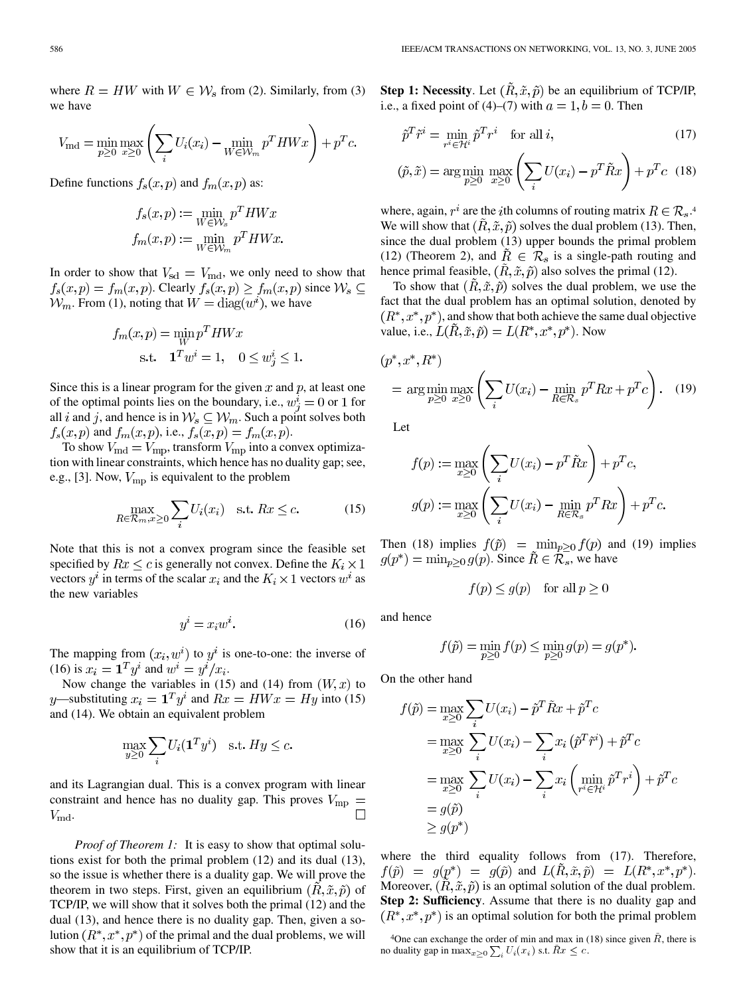where  $R = HW$  with  $W \in W_s$  from (2). Similarly, from (3) we have

$$
V_{\text{md}} = \min_{p \ge 0} \max_{x \ge 0} \left( \sum_i U_i(x_i) - \min_{W \in \mathcal{W}_m} p^T H W x \right) + p^T c.
$$

Define functions  $f_s(x, p)$  and  $f_m(x, p)$  as:

$$
f_s(x, p) := \min_{W \in \mathcal{W}_s} p^T H W x
$$
  

$$
f_m(x, p) := \min_{W \in \mathcal{W}_m} p^T H W x.
$$

In order to show that  $V_{sd} = V_{md}$ , we only need to show that  $f_s(x,p) = f_m(x,p)$ . Clearly  $f_s(x,p) \ge f_m(x,p)$  since  $\mathcal{W}_s \subseteq$  $W_m$ . From (1), noting that  $W = \text{diag}(w^i)$ , we have

$$
f_m(x, p) = \min_{W} p^T H W x
$$
  
s.t.  $\mathbf{1}^T w^i = 1, \quad 0 \le w^i_j \le 1.$ 

Since this is a linear program for the given  $x$  and  $p$ , at least one of the optimal points lies on the boundary, i.e.,  $w_j^i = 0$  or 1 for all i and j, and hence is in  $W_s \subseteq W_m$ . Such a point solves both  $f_s(x, p)$  and  $f_m(x, p)$ , i.e.,  $f_s(x, p) = f_m(x, p)$ .

To show  $V_{\text{md}} = V_{\text{mp}}$ , transform  $V_{\text{mp}}$  into a convex optimization with linear constraints, which hence has no duality gap; see, e.g., [\[3](#page-13-0)]. Now,  $V_{\rm mp}$  is equivalent to the problem

$$
\max_{R \in \mathcal{R}_m, x \ge 0} \sum_i U_i(x_i) \quad \text{s.t. } Rx \le c. \tag{15}
$$

Note that this is not a convex program since the feasible set specified by  $Rx \leq c$  is generally not convex. Define the  $K_i \times 1$ vectors  $y^i$  in terms of the scalar  $x_i$  and the  $K_i \times 1$  vectors  $w^i$  as the new variables

$$
y^i = x_i w^i. \tag{16}
$$

The mapping from  $(x_i, w^i)$  to  $y^i$  is one-to-one: the inverse of (16) is  $x_i = \mathbf{1}^T y^i$  and  $w^i = y^i / x_i$ .

Now change the variables in (15) and (14) from  $(W, x)$  to y—substituting  $x_i = \mathbf{1}^T y^i$  and  $Rx = HWx = Hy$  into (15) and (14). We obtain an equivalent problem

$$
\max_{y\geq 0} \sum_i U_i(\mathbf{1}^T y^i) \quad \text{s.t. } Hy \leq c.
$$

and its Lagrangian dual. This is a convex program with linear constraint and hence has no duality gap. This proves  $V_{\text{mp}} =$  $\Box$  $V_{\rm md}$ .

*Proof of Theorem 1:* It is easy to show that optimal solutions exist for both the primal problem (12) and its dual (13), so the issue is whether there is a duality gap. We will prove the theorem in two steps. First, given an equilibrium  $(R, \tilde{x}, \tilde{p})$  of TCP/IP, we will show that it solves both the primal (12) and the dual (13), and hence there is no duality gap. Then, given a solution  $(R^*, x^*, p^*)$  of the primal and the dual problems, we will show that it is an equilibrium of TCP/IP.

**Step 1: Necessity.** Let  $(\tilde{R}, \tilde{x}, \tilde{p})$  be an equilibrium of TCP/IP, i.e., a fixed point of (4)–(7) with  $a = 1, b = 0$ . Then

$$
\tilde{p}^T \tilde{r}^i = \min_{r^i \in \mathcal{H}^i} \tilde{p}^T r^i \quad \text{for all } i,
$$
\n(17)

$$
(\tilde{p}, \tilde{x}) = \arg\min_{p \ge 0} \max_{x \ge 0} \left( \sum_i U(x_i) - p^T \tilde{R} x \right) + p^T c \quad (18)
$$

where, again,  $r^i$  are the *i*th columns of routing matrix  $R \in \mathcal{R}_s$ .<sup>4</sup> We will show that  $(R, \tilde{x}, \tilde{p})$  solves the dual problem (13). Then, since the dual problem (13) upper bounds the primal problem (12) (Theorem 2), and  $\tilde{R} \in \mathcal{R}_s$  is a single-path routing and hence primal feasible,  $(\tilde{R}, \tilde{x}, \tilde{p})$  also solves the primal (12).

To show that  $(R, \tilde{x}, \tilde{p})$  solves the dual problem, we use the fact that the dual problem has an optimal solution, denoted by  $(R^*, x^*, p^*)$ , and show that both achieve the same dual objective value, i.e.,  $L(\tilde{R}, \tilde{x}, \tilde{p}) = L(R^*, x^*, p^*)$ . Now

$$
(p^*, x^*, R^*)
$$
  
= arg min max<sub>p\geq 0</sub>  $\sum_{x\geq 0}$   $\left(\sum_i U(x_i) - \min_{R\in\mathcal{R}_s} p^T R x + p^T c\right)$ . (19)

Let

$$
f(p) := \max_{x \ge 0} \left( \sum_i U(x_i) - p^T \tilde{R} x \right) + p^T c,
$$
  

$$
g(p) := \max_{x \ge 0} \left( \sum_i U(x_i) - \min_{R \in \mathcal{R}_s} p^T R x \right) + p^T c.
$$

Then (18) implies  $f(\tilde{p}) = \min_{p \geq 0} f(p)$  and (19) implies  $g(p^*) = \min_{p>0} g(p)$ . Since  $\tilde{R} \in \mathcal{R}_s$ , we have

$$
f(p) \le g(p) \quad \text{for all } p \ge 0
$$

and hence

$$
f(\tilde{p}) = \min_{p \ge 0} f(p) \le \min_{p \ge 0} g(p) = g(p^*).
$$

On the other hand

$$
f(\tilde{p}) = \max_{x \ge 0} \sum_{i} U(x_i) - \tilde{p}^T \tilde{R} x + \tilde{p}^T c
$$
  
= 
$$
\max_{x \ge 0} \sum_{i} U(x_i) - \sum_{i} x_i (\tilde{p}^T \tilde{r}^i) + \tilde{p}^T c
$$
  
= 
$$
\max_{x \ge 0} \sum_{i} U(x_i) - \sum_{i} x_i (\min_{r^i \in \mathcal{H}^i} \tilde{p}^T r^i) + \tilde{p}^T c
$$
  
= 
$$
g(\tilde{p})
$$
  

$$
\ge g(p^*)
$$

where the third equality follows from (17). Therefore,  $f(\tilde{p}) = g(p^*) = g(\tilde{p})$  and  $L(\tilde{R}, \tilde{x}, \tilde{p}) = L(R^*, x^*, p^*).$ Moreover,  $(R, \tilde{x}, \tilde{p})$  is an optimal solution of the dual problem. **Step 2: Sufficiency**. Assume that there is no duality gap and  $(R^*, x^*, p^*)$  is an optimal solution for both the primal problem

<sup>4</sup>One can exchange the order of min and max in (18) since given  $\overline{R}$ , there is no duality gap in  $\max_{x\geq 0} \sum_i U_i(x_i)$  s.t.  $Rx \leq c$ .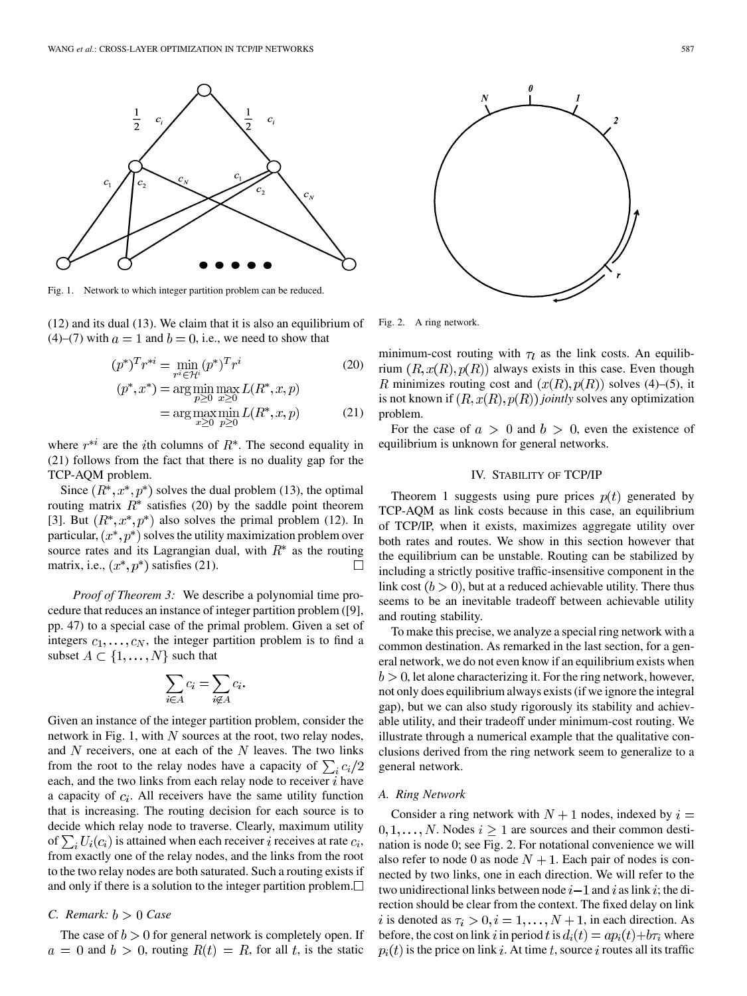

Fig. 1. Network to which integer partition problem can be reduced.

(12) and its dual (13). We claim that it is also an equilibrium of (4)–(7) with  $a=1$  and  $b=0$ , i.e., we need to show that

$$
(p^*)^T r^{*i} = \min_{r^i \in \mathcal{H}^i} (p^*)^T r^i
$$
 (20)

$$
(p^*, x^*) = \arg\min_{p \ge 0} \max_{x \ge 0} L(R^*, x, p)
$$
  
= 
$$
\arg\max_{x \ge 0} \min_{p \ge 0} L(R^*, x, p)
$$
 (21)

where  $r^{*i}$  are the *i*th columns of  $R^*$ . The second equality in (21) follows from the fact that there is no duality gap for the TCP-AQM problem.

Since  $(R^*, x^*, p^*)$  solves the dual problem (13), the optimal routing matrix  $R^*$  satisfies (20) by the saddle point theorem [\[3](#page-13-0)]. But  $(R^*, x^*, p^*)$  also solves the primal problem (12). In particular,  $(x^*, p^*)$  solves the utility maximization problem over source rates and its Lagrangian dual, with  $R^*$  as the routing matrix, i.e.,  $(x^*, p^*)$  satisfies (21).  $\Box$ 

*Proof of Theorem 3:* We describe a polynomial time procedure that reduces an instance of integer partition problem ([\[9](#page-13-0)], pp. 47) to a special case of the primal problem. Given a set of integers  $c_1, \ldots, c_N$ , the integer partition problem is to find a subset  $A \subset \{1, \ldots, N\}$  such that

$$
\sum_{i \in A} c_i = \sum_{i \notin A} c_i
$$

Given an instance of the integer partition problem, consider the network in Fig. 1, with  $N$  sources at the root, two relay nodes, and  $N$  receivers, one at each of the  $N$  leaves. The two links from the root to the relay nodes have a capacity of  $\sum_i c_i/2$ each, and the two links from each relay node to receiver  $i$  have a capacity of  $c_i$ . All receivers have the same utility function that is increasing. The routing decision for each source is to decide which relay node to traverse. Clearly, maximum utility of  $\sum_i U_i(c_i)$  is attained when each receiver *i* receives at rate  $c_i$ , from exactly one of the relay nodes, and the links from the root to the two relay nodes are both saturated. Such a routing exists if and only if there is a solution to the integer partition problem. $\Box$ 

# *C. Remark:*  $b > 0$  *Case*

The case of  $b > 0$  for general network is completely open. If  $a = 0$  and  $b > 0$ , routing  $R(t) = R$ , for all t, is the static



Fig. 2. A ring network.

minimum-cost routing with  $\tau_l$  as the link costs. An equilibrium  $(R, x(R), p(R))$  always exists in this case. Even though R minimizes routing cost and  $(x(R), p(R))$  solves (4)–(5), it is not known if  $(R, x(R), p(R))$  *jointly* solves any optimization problem.

For the case of  $a > 0$  and  $b > 0$ , even the existence of equilibrium is unknown for general networks.

## IV. STABILITY OF TCP/IP

Theorem 1 suggests using pure prices  $p(t)$  generated by TCP-AQM as link costs because in this case, an equilibrium of TCP/IP, when it exists, maximizes aggregate utility over both rates and routes. We show in this section however that the equilibrium can be unstable. Routing can be stabilized by including a strictly positive traffic-insensitive component in the link cost  $(b > 0)$ , but at a reduced achievable utility. There thus seems to be an inevitable tradeoff between achievable utility and routing stability.

To make this precise, we analyze a special ring network with a common destination. As remarked in the last section, for a general network, we do not even know if an equilibrium exists when  $b > 0$ , let alone characterizing it. For the ring network, however, not only does equilibrium always exists (if we ignore the integral gap), but we can also study rigorously its stability and achievable utility, and their tradeoff under minimum-cost routing. We illustrate through a numerical example that the qualitative conclusions derived from the ring network seem to generalize to a general network.

#### *A. Ring Network*

Consider a ring network with  $N + 1$  nodes, indexed by  $i =$  $0, 1, \ldots, N$ . Nodes  $i \geq 1$  are sources and their common destination is node 0; see Fig. 2. For notational convenience we will also refer to node 0 as node  $N + 1$ . Each pair of nodes is connected by two links, one in each direction. We will refer to the two unidirectional links between node  $i-1$  and i as link i; the direction should be clear from the context. The fixed delay on link is denoted as  $\tau_i > 0, i = 1, ..., N + 1$ , in each direction. As before, the cost on link i in period t is  $d_i(t) = ap_i(t) + b\tau_i$  where  $p_i(t)$  is the price on link i. At time t, source i routes all its traffic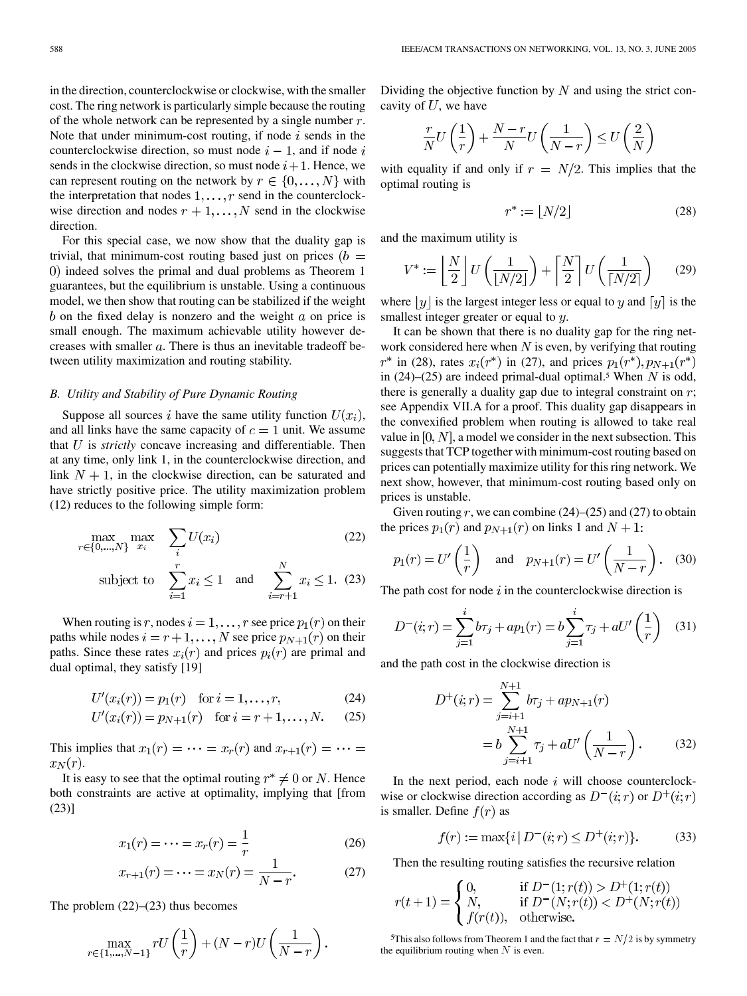in the direction, counterclockwise or clockwise, with the smaller cost. The ring network is particularly simple because the routing of the whole network can be represented by a single number  $r$ . Note that under minimum-cost routing, if node  $i$  sends in the counterclockwise direction, so must node  $i - 1$ , and if node i sends in the clockwise direction, so must node  $i + 1$ . Hence, we can represent routing on the network by  $r \in \{0, \ldots, N\}$  with the interpretation that nodes  $1, \ldots, r$  send in the counterclockwise direction and nodes  $r+1, \ldots, N$  send in the clockwise direction.

For this special case, we now show that the duality gap is trivial, that minimum-cost routing based just on prices ( $b =$ indeed solves the primal and dual problems as Theorem 1 guarantees, but the equilibrium is unstable. Using a continuous model, we then show that routing can be stabilized if the weight b on the fixed delay is nonzero and the weight  $\alpha$  on price is small enough. The maximum achievable utility however decreases with smaller  $a$ . There is thus an inevitable tradeoff between utility maximization and routing stability.

## *B. Utility and Stability of Pure Dynamic Routing*

Suppose all sources i have the same utility function  $U(x_i)$ , and all links have the same capacity of  $c = 1$  unit. We assume that  $U$  is *strictly* concave increasing and differentiable. Then at any time, only link 1, in the counterclockwise direction, and link  $N + 1$ , in the clockwise direction, can be saturated and have strictly positive price. The utility maximization problem (12) reduces to the following simple form:

$$
\max_{r \in \{0, \dots, N\}} \max_{x_i} \quad \sum_i U(x_i) \tag{22}
$$
\n
$$
\text{subject to} \quad \sum_{i=1}^r x_i \le 1 \quad \text{and} \quad \sum_{i=r+1}^N x_i \le 1. \tag{23}
$$

When routing is r, nodes  $i = 1, \ldots, r$  see price  $p_1(r)$  on their paths while nodes  $i = r + 1, ..., N$  see price  $p_{N+1}(r)$  on their paths. Since these rates  $x_i(r)$  and prices  $p_i(r)$  are primal and dual optimal, they satisfy [\[19](#page-13-0)]

$$
U'(x_i(r)) = p_1(r) \quad \text{for } i = 1, \dots, r,
$$
 (24)

$$
U'(x_i(r)) = p_{N+1}(r) \quad \text{for } i = r+1, \dots, N. \tag{25}
$$

This implies that  $x_1(r) = \cdots = x_r(r)$  and  $x_{r+1}(r) = \cdots$  $x_N(r)$ .

It is easy to see that the optimal routing  $r^* \neq 0$  or N. Hence both constraints are active at optimality, implying that [from (23)]

$$
x_1(r) = \dots = x_r(r) = \frac{1}{r}
$$
 (26)

$$
x_{r+1}(r) = \dots = x_N(r) = \frac{1}{N-r}.\tag{27}
$$

The problem  $(22)$ – $(23)$  thus becomes

$$
\max_{r \in \{1,\dots,N-1\}} rU\left(\frac{1}{r}\right) + (N-r)U\left(\frac{1}{N-r}\right).
$$

Dividing the objective function by  $N$  and using the strict concavity of  $U$ , we have

$$
\frac{r}{N}U\left(\frac{1}{r}\right) + \frac{N-r}{N}U\left(\frac{1}{N-r}\right) \le U\left(\frac{2}{N}\right)
$$

with equality if and only if  $r = N/2$ . This implies that the optimal routing is

$$
r^* := \lfloor N/2 \rfloor \tag{28}
$$

and the maximum utility is

$$
V^* := \left\lfloor \frac{N}{2} \right\rfloor U \left( \frac{1}{\lfloor N/2 \rfloor} \right) + \left\lceil \frac{N}{2} \right\rceil U \left( \frac{1}{\lceil N/2 \rceil} \right) \tag{29}
$$

where  $|y|$  is the largest integer less or equal to y and  $[y]$  is the smallest integer greater or equal to  $y$ .

It can be shown that there is no duality gap for the ring network considered here when  $N$  is even, by verifying that routing  $r^*$  in (28), rates  $x_i(r^*)$  in (27), and prices  $p_1(r^*)$ ,  $p_{N+1}(r^*)$ in (24)–(25) are indeed primal-dual optimal.<sup>5</sup> When N is odd, there is generally a duality gap due to integral constraint on  $r$ ; see Appendix VII.A for a proof. This duality gap disappears in the convexified problem when routing is allowed to take real value in  $[0, N]$ , a model we consider in the next subsection. This suggests that TCP together with minimum-cost routing based on prices can potentially maximize utility for this ring network. We next show, however, that minimum-cost routing based only on prices is unstable.

Given routing r, we can combine  $(24)$ – $(25)$  and  $(27)$  to obtain the prices  $p_1(r)$  and  $p_{N+1}(r)$  on links 1 and  $N+1$ :

$$
p_1(r) = U'\left(\frac{1}{r}\right)
$$
 and  $p_{N+1}(r) = U'\left(\frac{1}{N-r}\right)$ . (30)

The path cost for node  $i$  in the counterclockwise direction is

$$
D^{-}(i;r) = \sum_{j=1}^{i} b\tau_j + ap_1(r) = b \sum_{j=1}^{i} \tau_j + aU' \left(\frac{1}{r}\right)
$$
 (31)

and the path cost in the clockwise direction is

$$
D^{+}(i;r) = \sum_{j=i+1}^{N+1} b\tau_{j} + ap_{N+1}(r)
$$
  
=  $b \sum_{j=i+1}^{N+1} \tau_{j} + aU' \left(\frac{1}{N-r}\right).$  (32)

In the next period, each node  $i$  will choose counterclockwise or clockwise direction according as  $D^-(i;r)$  or  $D^+(i;r)$ is smaller. Define  $f(r)$  as

$$
f(r) := \max\{i \, | \, D^-(i; r) \le D^+(i; r)\}.
$$
 (33)

Then the resulting routing satisfies the recursive relation

$$
r(t+1) = \begin{cases} 0, & \text{if } D^-(1; r(t)) > D^+(1; r(t)) \\ N, & \text{if } D^-(N; r(t)) < D^+(N; r(t)) \\ f(r(t)), & \text{otherwise.} \end{cases}
$$

<sup>5</sup>This also follows from Theorem 1 and the fact that  $r = N/2$  is by symmetry the equilibrium routing when  $N$  is even.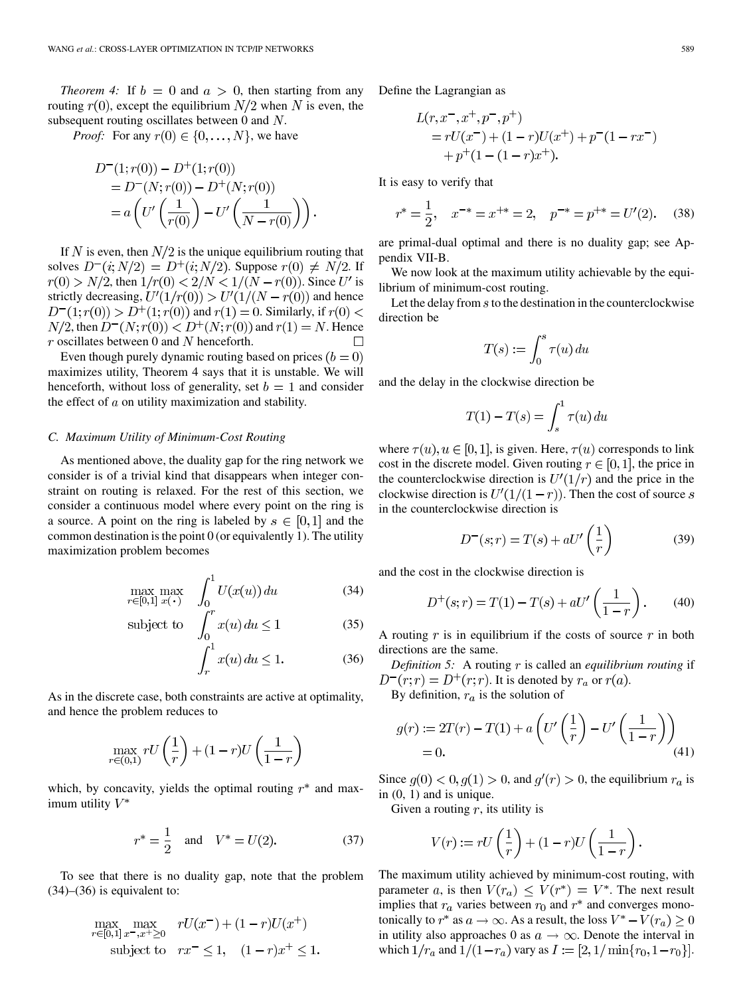*Theorem 4:* If  $b = 0$  and  $a > 0$ , then starting from any routing  $r(0)$ , except the equilibrium  $N/2$  when N is even, the subsequent routing oscillates between 0 and  $N$ .

*Proof:* For any  $r(0) \in \{0, \ldots, N\}$ , we have

$$
D^{-}(1; r(0)) - D^{+}(1; r(0))
$$
  
=  $D^{-}(N; r(0)) - D^{+}(N; r(0))$   
=  $a \left( U' \left( \frac{1}{r(0)} \right) - U' \left( \frac{1}{N - r(0)} \right) \right).$ 

If N is even, then  $N/2$  is the unique equilibrium routing that solves  $D^-(i;N/2) = D^+(i;N/2)$ . Suppose  $r(0) \neq N/2$ . If  $r(0) > N/2$ , then  $1/r(0) < 2/N < 1/(N - r(0))$ . Since U' is strictly decreasing,  $U'(1/r(0)) > U'(1/(N - r(0))$  and hence  $D^{-}(1; r(0)) > D^{+}(1; r(0))$  and  $r(1) = 0$ . Similarly, if  $r(0) <$  $N/2$ , then  $D^{-}(N; r(0)) < D^{+}(N; r(0))$  and  $r(1) = N$ . Hence  $r$  oscillates between 0 and  $N$  henceforth.  $\Box$ 

Even though purely dynamic routing based on prices  $(b = 0)$ maximizes utility, Theorem 4 says that it is unstable. We will henceforth, without loss of generality, set  $b = 1$  and consider the effect of  $a$  on utility maximization and stability.

#### *C. Maximum Utility of Minimum-Cost Routing*

As mentioned above, the duality gap for the ring network we consider is of a trivial kind that disappears when integer constraint on routing is relaxed. For the rest of this section, we consider a continuous model where every point on the ring is a source. A point on the ring is labeled by  $s \in [0, 1]$  and the common destination is the point 0 (or equivalently 1). The utility maximization problem becomes

$$
\max_{r \in [0,1]} \max_{x(\cdot)} \quad \int_0^1 U(x(u)) \, du \tag{34}
$$

subject to 
$$
\int_{0}^{\cdot} x(u) du \le 1
$$
 (35)

$$
\int_{r}^{1} x(u) du \le 1.
$$
 (36)

As in the discrete case, both constraints are active at optimality, and hence the problem reduces to

$$
\max_{r \in (0,1)} rU\left(\frac{1}{r}\right) + (1-r)U\left(\frac{1}{1-r}\right)
$$

which, by concavity, yields the optimal routing  $r^*$  and maximum utility  $V^*$ 

$$
r^* = \frac{1}{2}
$$
 and  $V^* = U(2)$ . (37)

To see that there is no duality gap, note that the problem  $(34)$ – $(36)$  is equivalent to:

$$
\max_{r \in [0,1]} \max_{x^-,x^+ \ge 0} rU(x^-) + (1-r)U(x^+) \n\text{subject to } rx^- \le 1, (1-r)x^+ \le 1.
$$

Define the Lagrangian as

$$
L(r, x^-, x^+, p^-, p^+)
$$
  
=  $rU(x^-) + (1-r)U(x^+) + p^-(1 - rx^-)$   
+  $p^+(1 - (1-r)x^+)$ .

It is easy to verify that

$$
r^* = \frac{1}{2}
$$
,  $x^{-*} = x^{+*} = 2$ ,  $p^{-*} = p^{+*} = U'(2)$ . (38)

are primal-dual optimal and there is no duality gap; see Appendix VII-B.

We now look at the maximum utility achievable by the equilibrium of minimum-cost routing.

Let the delay from  $s$  to the destination in the counterclockwise direction be

$$
T(s) := \int_0^s \tau(u) \, du
$$

and the delay in the clockwise direction be

$$
T(1) - T(s) = \int_s^1 \tau(u) \, du
$$

where  $\tau(u), u \in [0, 1]$ , is given. Here,  $\tau(u)$  corresponds to link cost in the discrete model. Given routing  $r \in [0, 1]$ , the price in the counterclockwise direction is  $U'(1/r)$  and the price in the clockwise direction is  $U'(1/(1-r))$ . Then the cost of source s in the counterclockwise direction is

$$
D^{-}(s;r) = T(s) + aU'\left(\frac{1}{r}\right)
$$
 (39)

and the cost in the clockwise direction is

$$
D^{+}(s;r) = T(1) - T(s) + aU'\left(\frac{1}{1-r}\right). \tag{40}
$$

A routing  $r$  is in equilibrium if the costs of source  $r$  in both directions are the same.

*Definition 5:* A routing r is called an *equilibrium routing* if  $D^-(r;r) = D^+(r;r)$ . It is denoted by  $r_a$  or  $r(a)$ .

By definition,  $r_a$  is the solution of

$$
g(r) := 2T(r) - T(1) + a\left(U'\left(\frac{1}{r}\right) - U'\left(\frac{1}{1-r}\right)\right) = 0.
$$
\n(41)

Since  $g(0) < 0, g(1) > 0$ , and  $g'(r) > 0$ , the equilibrium  $r_a$  is in  $(0, 1)$  and is unique.

Given a routing  $r$ , its utility is

$$
V(r) := rU\left(\frac{1}{r}\right) + (1-r)U\left(\frac{1}{1-r}\right).
$$

The maximum utility achieved by minimum-cost routing, with parameter a, is then  $V(r_a) \leq V(r^*) = V^*$ . The next result implies that  $r_a$  varies between  $r_0$  and  $r^*$  and converges monotonically to  $r^*$  as  $a \to \infty$ . As a result, the loss  $V^* - V(r_a) \ge 0$ in utility also approaches 0 as  $a \to \infty$ . Denote the interval in which  $1/r_a$  and  $1/(1-r_a)$  vary as  $I := [2, 1/\min\{r_0, 1-r_0\}]$ .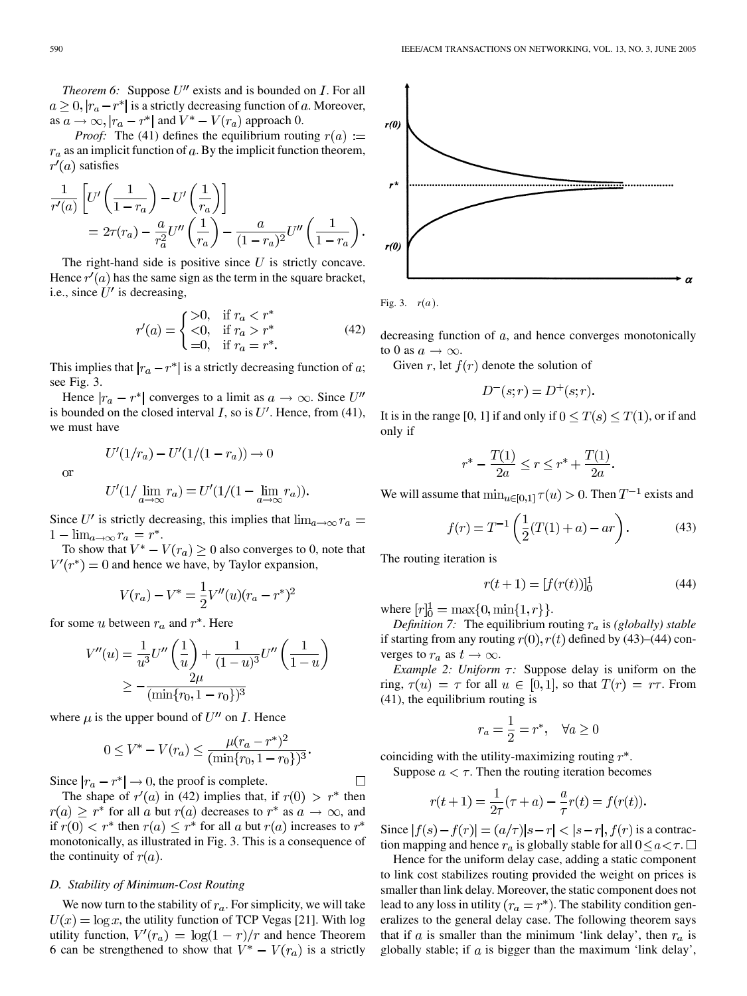*Theorem 6:* Suppose  $U''$  exists and is bounded on  $I$ . For all  $a \geq 0, |r_a - r^*|$  is a strictly decreasing function of a. Moreover, as  $a \to \infty$ ,  $|r_a - r^*|$  and  $V^* - V(r_a)$  approach 0.

*Proof:* The (41) defines the equilibrium routing  $r(a) :=$  $r_a$  as an implicit function of  $a$ . By the implicit function theorem,  $r'(a)$  satisfies

$$
\frac{1}{r'(a)} \left[ U' \left( \frac{1}{1 - r_a} \right) - U' \left( \frac{1}{r_a} \right) \right]
$$
  
= 
$$
2\tau(r_a) - \frac{a}{r_a^2} U'' \left( \frac{1}{r_a} \right) - \frac{a}{(1 - r_a)^2} U'' \left( \frac{1}{1 - r_a} \right).
$$

The right-hand side is positive since  $U$  is strictly concave. Hence  $r'(a)$  has the same sign as the term in the square bracket, i.e., since  $U'$  is decreasing,

$$
r'(a) = \begin{cases} >0, & \text{if } r_a < r^* \\ <0, & \text{if } r_a > r^* \\ =0, & \text{if } r_a = r^*. \end{cases}
$$
(42)

This implies that  $|r_a - r^*|$  is a strictly decreasing function of a; see Fig. 3.

Hence  $|r_a - r^*|$  converges to a limit as  $a \to \infty$ . Since U'' is bounded on the closed interval  $I$ , so is  $U'$ . Hence, from (41), we must have

 $U'(1/r_a) - U'(1/(1-r_a)) \to 0$ 

**or** 

$$
U'(1/\lim_{a \to \infty} r_a) = U'(1/(1 - \lim_{a \to \infty} r_a)).
$$

Since U' is strictly decreasing, this implies that  $\lim_{a\to\infty} r_a =$  $1-\lim_{a\to\infty}r_a=r^*.$ 

To show that  $V^* - V(r_a) \geq 0$  also converges to 0, note that  $V'(r^*) = 0$  and hence we have, by Taylor expansion,

$$
V(r_a) - V^* = \frac{1}{2}V''(u)(r_a - r^*)^2
$$

for some u between  $r_a$  and  $r^*$ . Here

$$
V''(u) = \frac{1}{u^3}U''\left(\frac{1}{u}\right) + \frac{1}{(1-u)^3}U''\left(\frac{1}{1-u}\right)
$$

$$
\geq -\frac{2\mu}{(\min\{r_0, 1-r_0\})^3}
$$

where  $\mu$  is the upper bound of  $U''$  on  $I$ . Hence

$$
0 \le V^* - V(r_a) \le \frac{\mu(r_a - r^*)^2}{(\min\{r_0, 1 - r_0\})^3}.
$$

Since  $|r_a - r^*| \to 0$ , the proof is complete.

The shape of  $r'(a)$  in (42) implies that, if  $r(0) > r^*$  then  $r(a) \geq r^*$  for all a but  $r(a)$  decreases to  $r^*$  as  $a \to \infty$ , and if  $r(0) < r^*$  then  $r(a) \leq r^*$  for all a but  $r(a)$  increases to  $r^*$ monotonically, as illustrated in Fig. 3. This is a consequence of the continuity of  $r(a)$ .

# *D. Stability of Minimum-Cost Routing*

We now turn to the stability of  $r_a$ . For simplicity, we will take  $U(x) = \log x$ , the utility function of TCP Vegas [[21\]](#page-13-0). With log utility function,  $V'(r_a) = \log(1 - r)/r$  and hence Theorem 6 can be strengthened to show that  $V^* - V(r_a)$  is a strictly



Fig. 3.  $r(a)$ .

decreasing function of  $a$ , and hence converges monotonically to 0 as  $a \rightarrow \infty$ .

Given r, let  $f(r)$  denote the solution of

$$
D^-(s;r) = D^+(s;r).
$$

It is in the range [0, 1] if and only if  $0 \le T(s) \le T(1)$ , or if and only if

$$
r^* - \frac{T(1)}{2a} \le r \le r^* + \frac{T(1)}{2a}.
$$

We will assume that  $\min_{u \in [0,1]} \tau(u) > 0$ . Then  $T^{-1}$  exists and

$$
f(r) = T^{-1} \left( \frac{1}{2} (T(1) + a) - ar \right). \tag{43}
$$

The routing iteration is

 $\Box$ 

$$
r(t+1) = [f(r(t))]_0^1
$$
 (44)

where  $[r]_0^1 = \max\{0, \min\{1, r\}\}.$ 

*Definition 7:* The equilibrium routing  $r_a$  is *(globally) stable* if starting from any routing  $r(0)$ ,  $r(t)$  defined by (43)–(44) converges to  $r_a$  as  $t \to \infty$ .

*Example 2: Uniform*  $\tau$ : Suppose delay is uniform on the ring,  $\tau(u) = \tau$  for all  $u \in [0,1]$ , so that  $T(r) = r\tau$ . From (41), the equilibrium routing is

$$
r_a = \frac{1}{2} = r^*, \quad \forall a \ge 0
$$

coinciding with the utility-maximizing routing  $r^*$ .

Suppose  $a < \tau$ . Then the routing iteration becomes

$$
r(t+1) = \frac{1}{2\tau}(\tau + a) - \frac{a}{\tau}r(t) = f(r(t)).
$$

Since  $|f(s) - f(r)| = (a/\tau)|s - r| < |s - r|$ ,  $f(r)$  is a contraction mapping and hence  $r_a$  is globally stable for all  $0 \le a < \tau$ .  $\Box$ 

Hence for the uniform delay case, adding a static component to link cost stabilizes routing provided the weight on prices is smaller than link delay. Moreover, the static component does not lead to any loss in utility  $(r_a = r^*)$ . The stability condition generalizes to the general delay case. The following theorem says that if a is smaller than the minimum 'link delay', then  $r_a$  is globally stable; if  $a$  is bigger than the maximum 'link delay',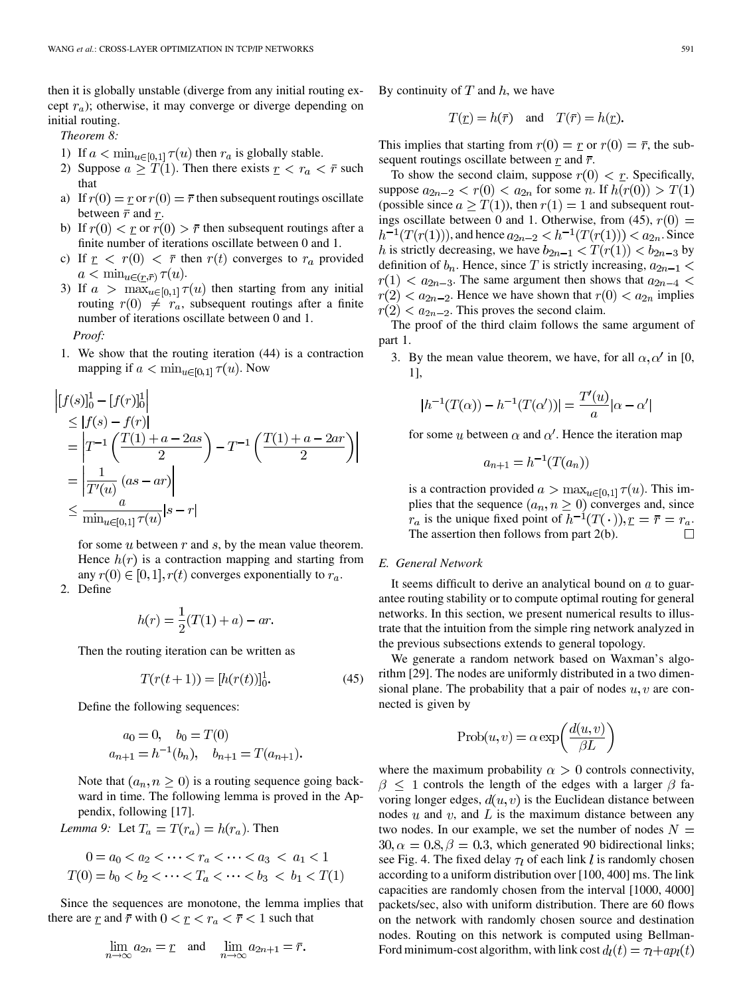then it is globally unstable (diverge from any initial routing except  $r_a$ ); otherwise, it may converge or diverge depending on initial routing.

*Theorem 8:*

- 1) If  $a < \min_{u \in [0,1]} \tau(u)$  then  $r_a$  is globally stable.
- 2) Suppose  $a \geq T(1)$ . Then there exists  $r < r_a < \bar{r}$  such that
- a) If  $r(0) = r$  or  $r(0) = \overline{r}$  then subsequent routings oscillate between  $\bar{r}$  and  $\underline{r}$ .
- b) If  $r(0) < r$  or  $r(0) > \overline{r}$  then subsequent routings after a finite number of iterations oscillate between 0 and 1.
- c) If  $r < r(0) < \bar{r}$  then  $r(t)$  converges to  $r_a$  provided  $a < \min_{u \in (r,\bar{r})} \tau(u).$
- 3) If  $a > \max_{u \in [0,1]} \tau(u)$  then starting from any initial routing  $r(0) \neq r_a$ , subsequent routings after a finite number of iterations oscillate between 0 and 1.

*Proof:*

1. We show that the routing iteration (44) is a contraction mapping if  $a < \min_{u \in [0,1]} \tau(u)$ . Now

$$
[f(s)]_0^1 - [f(r)]_0^1
$$
  
\n
$$
\leq |f(s) - f(r)|
$$
  
\n
$$
= |T^{-1} \left( \frac{T(1) + a - 2as}{2} \right) - T^{-1} \left( \frac{T(1) + a - 2ar}{2} \right) |
$$
  
\n
$$
= \left| \frac{1}{T'(u)} (as - ar) \right|
$$
  
\n
$$
\leq \frac{a}{\min_{u \in [0,1]} \tau(u)} |s - r|
$$

for some  $u$  between  $r$  and  $s$ , by the mean value theorem. Hence  $h(r)$  is a contraction mapping and starting from any  $r(0) \in [0, 1], r(t)$  converges exponentially to  $r_a$ .

2. Define

$$
h(r) = \frac{1}{2}(T(1) + a) - ar.
$$

Then the routing iteration can be written as

$$
T(r(t+1)) = [h(r(t))]_0^1.
$$
 (45)

Define the following sequences:

$$
a_0 = 0
$$
,  $b_0 = T(0)$   
 $a_{n+1} = h^{-1}(b_n)$ ,  $b_{n+1} = T(a_{n+1})$ 

Note that  $(a_n, n \ge 0)$  is a routing sequence going backward in time. The following lemma is proved in the Appendix, following [\[17](#page-13-0)].

*Lemma 9:* Let  $T_a = T(r_a) = h(r_a)$ . Then

$$
0 = a_0 < a_2 < \dots < r_a < \dots < a_3 < a_1 < 1
$$
\n
$$
T(0) = b_0 < b_2 < \dots < T_a < \dots < b_3 < b_1 < T(1)
$$

Since the sequences are monotone, the lemma implies that there are <u>r</u> and  $\bar{r}$  with  $0 < \underline{r} < r_a < \bar{r} < 1$  such that

$$
\lim_{n \to \infty} a_{2n} = \underline{r} \quad \text{and} \quad \lim_{n \to \infty} a_{2n+1} = \overline{r}
$$

By continuity of  $T$  and  $h$ , we have

$$
T(\underline{r}) = h(\overline{r})
$$
 and  $T(\overline{r}) = h(\underline{r}).$ 

This implies that starting from  $r(0) = r$  or  $r(0) = \overline{r}$ , the subsequent routings oscillate between  $\underline{r}$  and  $\overline{r}$ .

To show the second claim, suppose  $r(0) < r$ . Specifically, suppose  $a_{2n-2} < r(0) < a_{2n}$  for some *n*. If  $h(r(0)) > T(1)$ (possible since  $a \geq T(1)$ ), then  $r(1) = 1$  and subsequent routings oscillate between 0 and 1. Otherwise, from (45),  $r(0)$  =  $h^{-1}(T(r(1))),$  and hence  $a_{2n-2} < h^{-1}(T(r(1))) < a_{2n}$ . Since h is strictly decreasing, we have  $b_{2n-1} < T(r(1)) < b_{2n-3}$  by definition of  $b_n$ . Hence, since T is strictly increasing,  $a_{2n-1}$  <  $r(1)$  <  $a_{2n-3}$ . The same argument then shows that  $a_{2n-4}$  <  $r(2) < a_{2n-2}$ . Hence we have shown that  $r(0) < a_{2n}$  implies  $r(2) < a_{2n-2}$ . This proves the second claim.

The proof of the third claim follows the same argument of part 1.

3. By the mean value theorem, we have, for all  $\alpha, \alpha'$  in [0, 1],

$$
|h^{-1}(T(\alpha)) - h^{-1}(T(\alpha'))| = \frac{T'(u)}{a}|\alpha - \alpha'|
$$

for some u between  $\alpha$  and  $\alpha'$ . Hence the iteration map

$$
a_{n+1} = h^{-1}(T(a_n))
$$

is a contraction provided  $a > \max_{u \in [0,1]} \tau(u)$ . This implies that the sequence  $(a_n, n \ge 0)$  converges and, since  $r_a$  is the unique fixed point of  $h^{-1}(T(\cdot))$ ,  $r = \overline{r} = r_a$ . The assertion then follows from part 2(b).  $\Box$ 

## *E. General Network*

It seems difficult to derive an analytical bound on  $\alpha$  to guarantee routing stability or to compute optimal routing for general networks. In this section, we present numerical results to illustrate that the intuition from the simple ring network analyzed in the previous subsections extends to general topology.

We generate a random network based on Waxman's algorithm [\[29](#page-13-0)]. The nodes are uniformly distributed in a two dimensional plane. The probability that a pair of nodes  $u, v$  are connected is given by

$$
Prob(u, v) = \alpha \exp\left(\frac{d(u, v)}{\beta L}\right)
$$

where the maximum probability  $\alpha > 0$  controls connectivity,  $\beta \leq 1$  controls the length of the edges with a larger  $\beta$  favoring longer edges,  $d(u, v)$  is the Euclidean distance between nodes  $u$  and  $v$ , and  $L$  is the maximum distance between any two nodes. In our example, we set the number of nodes  $N =$  $30, \alpha = 0.8, \beta = 0.3$ , which generated 90 bidirectional links; see Fig. 4. The fixed delay  $\tau_l$  of each link l is randomly chosen according to a uniform distribution over [100, 400] ms. The link capacities are randomly chosen from the interval [1000, 4000] packets/sec, also with uniform distribution. There are 60 flows on the network with randomly chosen source and destination nodes. Routing on this network is computed using Bellman-Ford minimum-cost algorithm, with link cost  $d_l(t) = \tau_l + ap_l(t)$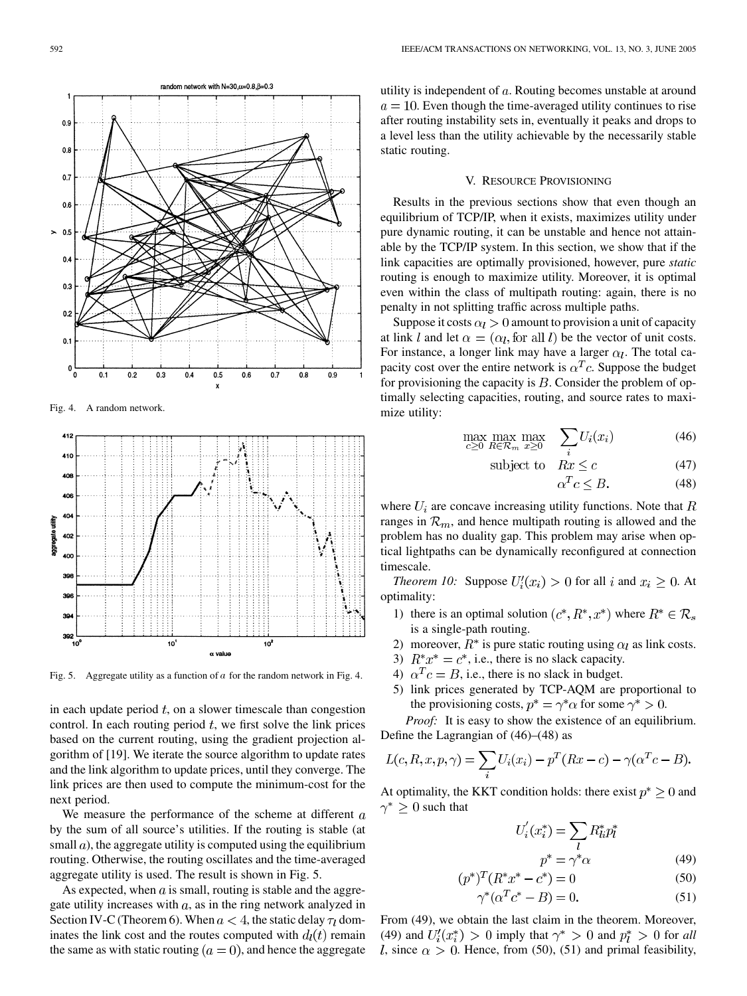

Fig. 4. A random network.



Fig. 5. Aggregate utility as a function of a for the random network in Fig. 4.

in each update period  $t$ , on a slower timescale than congestion control. In each routing period  $t$ , we first solve the link prices based on the current routing, using the gradient projection algorithm of [[19\]](#page-13-0). We iterate the source algorithm to update rates and the link algorithm to update prices, until they converge. The link prices are then used to compute the minimum-cost for the next period.

We measure the performance of the scheme at different  $a$ by the sum of all source's utilities. If the routing is stable (at small  $a$ ), the aggregate utility is computed using the equilibrium routing. Otherwise, the routing oscillates and the time-averaged aggregate utility is used. The result is shown in Fig. 5.

As expected, when  $a$  is small, routing is stable and the aggregate utility increases with  $a$ , as in the ring network analyzed in Section IV-C (Theorem 6). When  $a < 4$ , the static delay  $\tau_l$  dominates the link cost and the routes computed with  $d_l(t)$  remain the same as with static routing  $(a = 0)$ , and hence the aggregate utility is independent of  $a$ . Routing becomes unstable at around  $a = 10$ . Even though the time-averaged utility continues to rise after routing instability sets in, eventually it peaks and drops to a level less than the utility achievable by the necessarily stable static routing.

## V. RESOURCE PROVISIONING

Results in the previous sections show that even though an equilibrium of TCP/IP, when it exists, maximizes utility under pure dynamic routing, it can be unstable and hence not attainable by the TCP/IP system. In this section, we show that if the link capacities are optimally provisioned, however, pure *static* routing is enough to maximize utility. Moreover, it is optimal even within the class of multipath routing: again, there is no penalty in not splitting traffic across multiple paths.

Suppose it costs  $\alpha_l > 0$  amount to provision a unit of capacity at link l and let  $\alpha = (\alpha_l, \text{for all } l)$  be the vector of unit costs. For instance, a longer link may have a larger  $\alpha_l$ . The total capacity cost over the entire network is  $\alpha^T c$ . Suppose the budget for provisioning the capacity is  $B$ . Consider the problem of optimally selecting capacities, routing, and source rates to maximize utility:

$$
\max_{c \geq 0} \max_{R \in \mathcal{R}_m} \max_{x \geq 0} \quad \sum_i U_i(x_i) \tag{46}
$$

$$
subject to \quad Rx \leq c \tag{47}
$$

$$
\alpha^T c \le B. \tag{48}
$$

where  $U_i$  are concave increasing utility functions. Note that R ranges in  $\mathcal{R}_m$ , and hence multipath routing is allowed and the problem has no duality gap. This problem may arise when optical lightpaths can be dynamically reconfigured at connection timescale.

*Theorem 10:* Suppose  $U_i'(x_i) > 0$  for all i and  $x_i \geq 0$ . At optimality:

- 1) there is an optimal solution  $(c^*, R^*, x^*)$  where  $R^* \in \mathcal{R}_s$ is a single-path routing.
- 2) moreover,  $R^*$  is pure static routing using  $\alpha_l$  as link costs.
- 3)  $R^*x^* = c^*$ , i.e., there is no slack capacity.
- 4)  $\alpha^T c = B$ , i.e., there is no slack in budget.
- 5) link prices generated by TCP-AQM are proportional to the provisioning costs,  $p^* = \gamma^* \alpha$  for some  $\gamma^* > 0$ .

*Proof:* It is easy to show the existence of an equilibrium. Define the Lagrangian of (46)–(48) as

$$
L(c, R, x, p, \gamma) = \sum_{i} U_i(x_i) - p^T(Rx - c) - \gamma(\alpha^T c - B).
$$

At optimality, the KKT condition holds: there exist  $p^* \geq 0$  and  $\gamma^* \geq 0$  such that

$$
U_i'(x_i^*) = \sum_l R_{li}^* p_l^*
$$
  

$$
p^* = \gamma^* \alpha
$$
 (49)

$$
(p^*)^T (R^* x^* - c^*) = 0 \tag{50}
$$

$$
\gamma^* (\alpha^T c^* - B) = 0. \tag{51}
$$

From (49), we obtain the last claim in the theorem. Moreover, (49) and  $U_i'(x_i^*) > 0$  imply that  $\gamma^* > 0$  and  $p_i^* > 0$  for all *l*, since  $\alpha > 0$ . Hence, from (50), (51) and primal feasibility,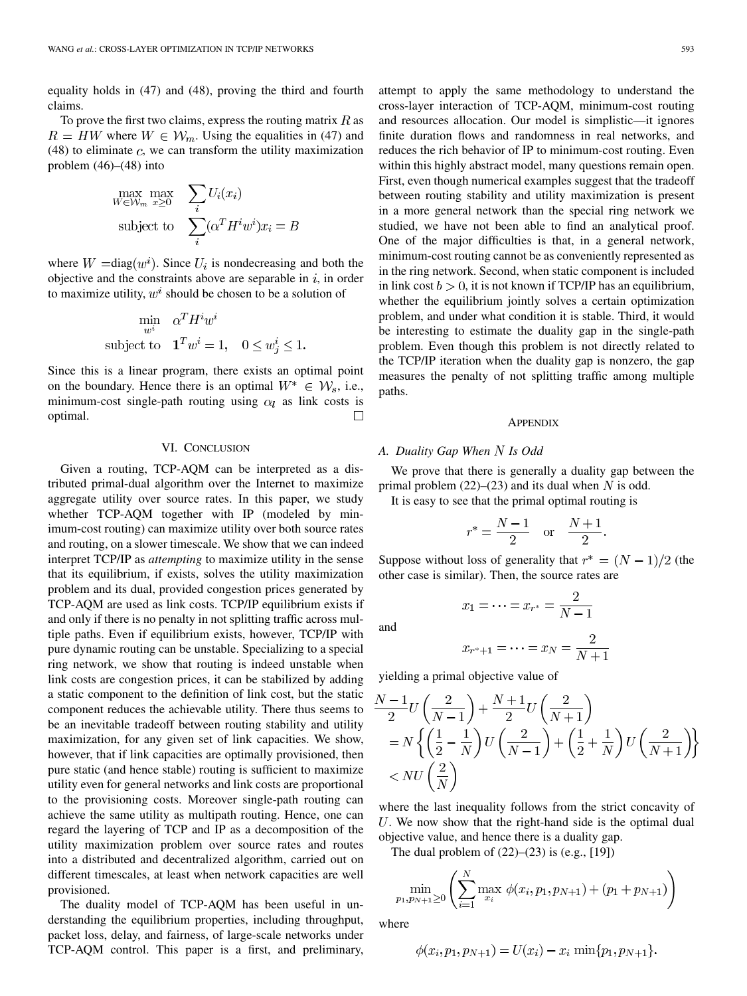equality holds in (47) and (48), proving the third and fourth claims.

To prove the first two claims, express the routing matrix  $R$  as  $R = HW$  where  $W \in W_m$ . Using the equalities in (47) and (48) to eliminate  $c$ , we can transform the utility maximization problem (46)–(48) into

$$
\begin{array}{ll}\n\max_{W \in \mathcal{W}_m} \max_{x \ge 0} & \sum_i U_i(x_i) \\
\text{subject to} & \sum_i (\alpha^T H^i w^i) x_i = B\n\end{array}
$$

where  $W = diag(w<sup>i</sup>)$ . Since  $U<sub>i</sub>$  is nondecreasing and both the objective and the constraints above are separable in  $i$ , in order to maximize utility,  $w^i$  should be chosen to be a solution of

$$
\min_{w^i} \quad \alpha^T H^i w^i
$$
\nsubject to  $\mathbf{1}^T w^i = 1, \quad 0 \le w^i_j \le 1.$ 

Since this is a linear program, there exists an optimal point on the boundary. Hence there is an optimal  $W^* \in \mathcal{W}_s$ , i.e., minimum-cost single-path routing using  $\alpha_l$  as link costs is optimal.  $\Box$ 

### VI. CONCLUSION

Given a routing, TCP-AQM can be interpreted as a distributed primal-dual algorithm over the Internet to maximize aggregate utility over source rates. In this paper, we study whether TCP-AQM together with IP (modeled by minimum-cost routing) can maximize utility over both source rates and routing, on a slower timescale. We show that we can indeed interpret TCP/IP as *attempting* to maximize utility in the sense that its equilibrium, if exists, solves the utility maximization problem and its dual, provided congestion prices generated by TCP-AQM are used as link costs. TCP/IP equilibrium exists if and only if there is no penalty in not splitting traffic across multiple paths. Even if equilibrium exists, however, TCP/IP with pure dynamic routing can be unstable. Specializing to a special ring network, we show that routing is indeed unstable when link costs are congestion prices, it can be stabilized by adding a static component to the definition of link cost, but the static component reduces the achievable utility. There thus seems to be an inevitable tradeoff between routing stability and utility maximization, for any given set of link capacities. We show, however, that if link capacities are optimally provisioned, then pure static (and hence stable) routing is sufficient to maximize utility even for general networks and link costs are proportional to the provisioning costs. Moreover single-path routing can achieve the same utility as multipath routing. Hence, one can regard the layering of TCP and IP as a decomposition of the utility maximization problem over source rates and routes into a distributed and decentralized algorithm, carried out on different timescales, at least when network capacities are well provisioned.

The duality model of TCP-AQM has been useful in understanding the equilibrium properties, including throughput, packet loss, delay, and fairness, of large-scale networks under TCP-AQM control. This paper is a first, and preliminary, attempt to apply the same methodology to understand the cross-layer interaction of TCP-AQM, minimum-cost routing and resources allocation. Our model is simplistic—it ignores finite duration flows and randomness in real networks, and reduces the rich behavior of IP to minimum-cost routing. Even within this highly abstract model, many questions remain open. First, even though numerical examples suggest that the tradeoff between routing stability and utility maximization is present in a more general network than the special ring network we studied, we have not been able to find an analytical proof. One of the major difficulties is that, in a general network, minimum-cost routing cannot be as conveniently represented as in the ring network. Second, when static component is included in link cost  $b > 0$ , it is not known if TCP/IP has an equilibrium, whether the equilibrium jointly solves a certain optimization problem, and under what condition it is stable. Third, it would be interesting to estimate the duality gap in the single-path problem. Even though this problem is not directly related to the TCP/IP iteration when the duality gap is nonzero, the gap measures the penalty of not splitting traffic among multiple paths.

## **APPENDIX**

### *A. Duality Gap When Is Odd*

We prove that there is generally a duality gap between the primal problem  $(22)$ – $(23)$  and its dual when N is odd.

It is easy to see that the primal optimal routing is

$$
r^* = \frac{N-1}{2}
$$
 or  $\frac{N+1}{2}$ .

Suppose without loss of generality that  $r^* = (N - 1)/2$  (the other case is similar). Then, the source rates are

and

$$
x_{r^*+1} = \cdots = x_N = \frac{2}{N+1}
$$

 $x_1 = \cdots = x_{r^*} = \frac{2}{N-1}$ 

yielding a primal objective value of

$$
\frac{N-1}{2}U\left(\frac{2}{N-1}\right) + \frac{N+1}{2}U\left(\frac{2}{N+1}\right)
$$
\n
$$
= N\left\{\left(\frac{1}{2} - \frac{1}{N}\right)U\left(\frac{2}{N-1}\right) + \left(\frac{1}{2} + \frac{1}{N}\right)U\left(\frac{2}{N+1}\right)\right\}
$$
\n
$$
< NU\left(\frac{2}{N}\right)
$$

where the last inequality follows from the strict concavity of U. We now show that the right-hand side is the optimal dual objective value, and hence there is a duality gap.

The dual problem of  $(22)$ – $(23)$  is (e.g., [\[19](#page-13-0)])

$$
\min_{p_1, p_{N+1} \ge 0} \left( \sum_{i=1}^N \max_{x_i} \phi(x_i, p_1, p_{N+1}) + (p_1 + p_{N+1}) \right)
$$

where

 $\epsilon$ 

$$
\phi(x_i, p_1, p_{N+1}) = U(x_i) - x_i \min\{p_1, p_{N+1}\}
$$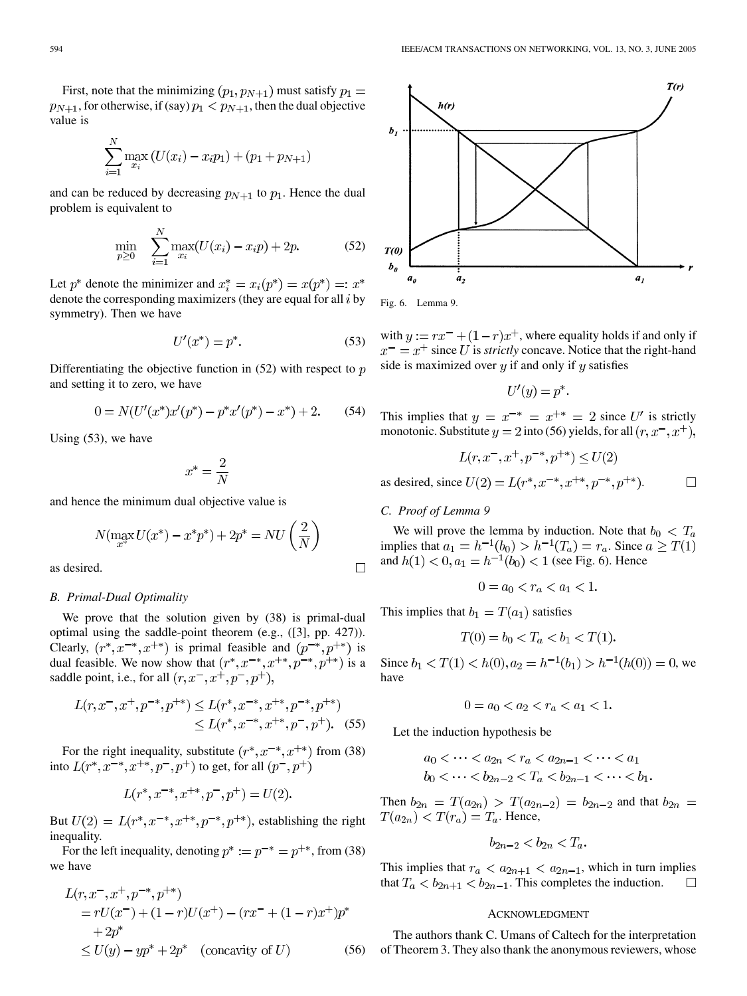First, note that the minimizing  $(p_1, p_{N+1})$  must satisfy  $p_1 =$  $p_{N+1}$ , for otherwise, if (say)  $p_1 < p_{N+1}$ , then the dual objective value is

$$
\sum_{i=1}^{N} \max_{x_i} (U(x_i) - x_i p_1) + (p_1 + p_{N+1})
$$

and can be reduced by decreasing  $p_{N+1}$  to  $p_1$ . Hence the dual problem is equivalent to

$$
\min_{p \ge 0} \quad \sum_{i=1}^{N} \max_{x_i} (U(x_i) - x_i p) + 2p. \tag{52}
$$

Let  $p^*$  denote the minimizer and  $x_i^* = x_i(p^*) = x(p^*) =: x^*$ denote the corresponding maximizers (they are equal for all  $i$  by symmetry). Then we have

$$
U'(x^*) = p^*.\tag{53}
$$

Differentiating the objective function in  $(52)$  with respect to p and setting it to zero, we have

$$
0 = N(U'(x^*)x'(p^*) - p^*x'(p^*) - x^*) + 2.
$$
 (54)

Using (53), we have

$$
x^* = \frac{2}{N}
$$

and hence the minimum dual objective value is

$$
N(\max_{x^*} U(x^*) - x^*p^*) + 2p^* = NU\left(\frac{2}{N}\right)
$$

as desired.

#### *B. Primal-Dual Optimality*

We prove that the solution given by (38) is primal-dual optimal using the saddle-point theorem (e.g., ([[3\]](#page-13-0), pp. 427)). Clearly,  $(r^*, x^{-*}, x^{+*})$  is primal feasible and  $(p^{-*}, p^{+*})$  is dual feasible. We now show that  $(r^*, x^{-*}, x^{+\ast}, p^{-*}, p^{+\ast})$  is a saddle point, i.e., for all  $(r, x^-, x^+, p^-, p^+)$ ,

$$
L(r, x^-, x^+, p^{-*}, p^{+*}) \le L(r^*, x^{-*}, x^{+*}, p^{-*}, p^{+*})
$$
  
\n
$$
\le L(r^*, x^{-*}, x^{+*}, p^-, p^+).
$$
 (55)

For the right inequality, substitute  $(r^*, x^{-*}, x^{+\ast})$  from (38) into  $L(r^*, x^{-*}, x^{+*}, p^-, p^+)$  to get, for all  $(p^-, p^+)$ 

$$
L(r^*, x^{-*}, x^{+*}, p^-, p^+) = U(2).
$$

But  $U(2) = L(r^*, x^{-*}, x^{+*}, p^{-*}, p^{+*})$ , establishing the right inequality.

For the left inequality, denoting  $p^* := p^{-*} = p^{+*}$ , from (38) we have

$$
L(r, x^-, x^+, p^{-*}, p^{+*})
$$
  
=  $rU(x^-) + (1-r)U(x^+) - (rx^- + (1-r)x^+)p^*$   
+  $2p^*$   
 $\leq U(y) - yp^* + 2p^*$  (concavity of U) (56)



Fig. 6. Lemma 9.

with  $y := rx^{-} + (1 - r)x^{+}$ , where equality holds if and only if  $s^{\text{-}} = x^+$  since U is *strictly* concave. Notice that the right-hand side is maximized over  $y$  if and only if  $y$  satisfies

$$
U'(y) = p^*.
$$

This implies that  $y = x^{-*} = x^{+*} = 2$  since U' is strictly monotonic. Substitute  $y = 2$  into (56) yields, for all  $(r, x^-, x^+)$ ,

$$
L(r, x^-, x^+, p^{-*}, p^{+*}) \le U(2)
$$

as desired, since  $U(2) = L(r^*, x^{-*}, x^{+*}, p^{-*}, p^{+*}).$  $\Box$ 

# *C. Proof of Lemma 9*

 $\Box$ 

We will prove the lemma by induction. Note that  $b_0 < T_a$ implies that  $a_1 = h^{-1}(b_0) > h^{-1}(T_a) = r_a$ . Since  $a \geq T(1)$ and  $h(1) < 0, a_1 = h^{-1}(b_0) < 1$  (see Fig. 6). Hence

$$
0 = a_0 < r_a < a_1 < 1.
$$

This implies that  $b_1 = T(a_1)$  satisfies

$$
T(0) = b_0 < T_a < b_1 < T(1).
$$

Since  $b_1 < T(1) < h(0), a_2 = h^{-1}(b_1) > h^{-1}(h(0)) = 0$ , we have

$$
0 = a_0 < a_2 < r_a < a_1 < 1.
$$

Let the induction hypothesis be

$$
a_0 < \dots < a_{2n} < r_a < a_{2n-1} < \dots < a_1
$$
\n
$$
b_0 < \dots < b_{2n-2} < T_a < b_{2n-1} < \dots < b_1
$$

Then  $b_{2n} = T(a_{2n}) > T(a_{2n-2}) = b_{2n-2}$  and that  $b_{2n} =$  $T(a_{2n}) < T(r_a) = T_a$ . Hence,

$$
b_{2n-2} < b_{2n} < T_a.
$$

This implies that  $r_a < a_{2n+1} < a_{2n-1}$ , which in turn implies that  $T_a < b_{2n+1} < b_{2n-1}$ . This completes the induction.  $\Box$ 

# ACKNOWLEDGMENT

The authors thank C. Umans of Caltech for the interpretation of Theorem 3. They also thank the anonymous reviewers, whose